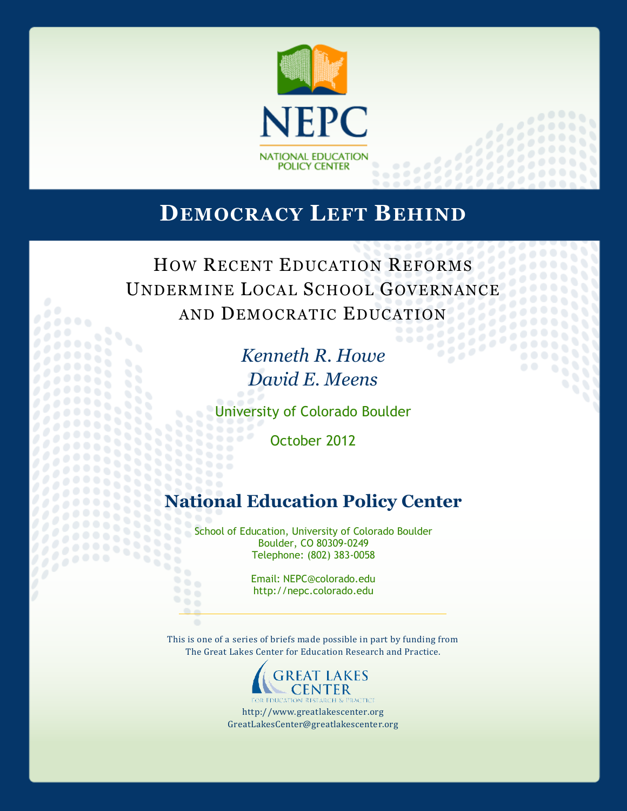

# **DEMOCRACY LEFT BEHIND**

HOW RECENT EDUCATION REFORMS UNDERMINE LOCAL SCHOOL GOVERNANCE AND DEMOCRATIC EDUCATION

*Kenneth R. Howe David E. Meens*

University of Colorado Boulder

October 2012

# **National Education Policy Center**

School of Education, University of Colorado Boulder Boulder, CO 80309-0249 Telephone: (802) 383-0058

88

2222333

Email: NEPC@colorado.edu http://nepc.colorado.edu

This is one of a series of briefs made possible in part by funding from The Great Lakes Center for Education Research and Practice.



http://www.greatlakescenter.org GreatLakesCenter@greatlakescenter.org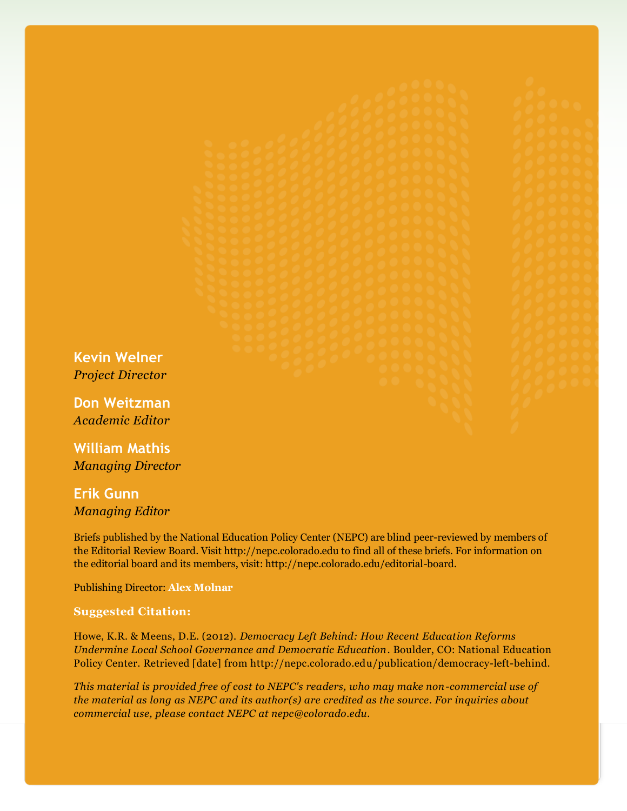**Kevin Welner** *Project Director*

**Don Weitzman** *Academic Editor*

**William Mathis** *Managing Director*

**Erik Gunn** *Managing Editor*

Briefs published by the National Education Policy Center (NEPC) are blind peer-reviewed by members of the Editorial Review Board. Visit http://nepc.colorado.edu to find all of these briefs. For information on the editorial board and its members, visit: http://nepc.colorado.edu/editorial-board.

Publishing Director: **Alex Molnar**

#### **Suggested Citation:**

Howe, K.R. & Meens, D.E. (2012). *Democracy Left Behind: How Recent Education Reforms Undermine Local School Governance and Democratic Education*. Boulder, CO: National Education Policy Center. Retrieved [date] from http://nepc.colorado.edu/publication/democracy-left-behind.

*This material is provided free of cost to NEPC's readers, who may make non-commercial use of the material as long as NEPC and its author(s) are credited as the source. For inquiries about commercial use, please contact NEPC at nepc@colorado.edu.*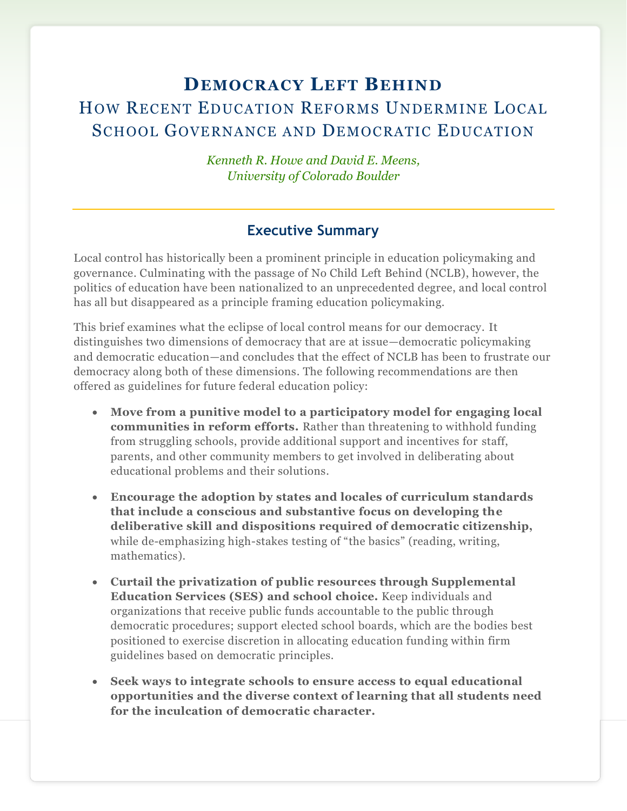# **DEMOCRACY LEFT BEHIND** HOW RECENT EDUCATION REFORMS UNDERMINE LOCAL SCHOOL GOVERNANCE AND DEMOCRATIC EDUCATION

*Kenneth R. Howe and David E. Meens, University of Colorado Boulder*

## **Executive Summary**

Local control has historically been a prominent principle in education policymaking and governance. Culminating with the passage of No Child Left Behind (NCLB), however, the politics of education have been nationalized to an unprecedented degree, and local control has all but disappeared as a principle framing education policymaking.

This brief examines what the eclipse of local control means for our democracy. It distinguishes two dimensions of democracy that are at issue—democratic policymaking and democratic education—and concludes that the effect of NCLB has been to frustrate our democracy along both of these dimensions. The following recommendations are then offered as guidelines for future federal education policy:

- **Move from a punitive model to a participatory model for engaging local communities in reform efforts.** Rather than threatening to withhold funding from struggling schools, provide additional support and incentives for staff, parents, and other community members to get involved in deliberating about educational problems and their solutions.
- **Encourage the adoption by states and locales of curriculum standards that include a conscious and substantive focus on developing the deliberative skill and dispositions required of democratic citizenship,** while de-emphasizing high-stakes testing of "the basics" (reading, writing, mathematics).
- **Curtail the privatization of public resources through Supplemental Education Services (SES) and school choice.** Keep individuals and organizations that receive public funds accountable to the public through democratic procedures; support elected school boards, which are the bodies best positioned to exercise discretion in allocating education funding within firm guidelines based on democratic principles.
- **Seek ways to integrate schools to ensure access to equal educational opportunities and the diverse context of learning that all students need for the inculcation of democratic character.**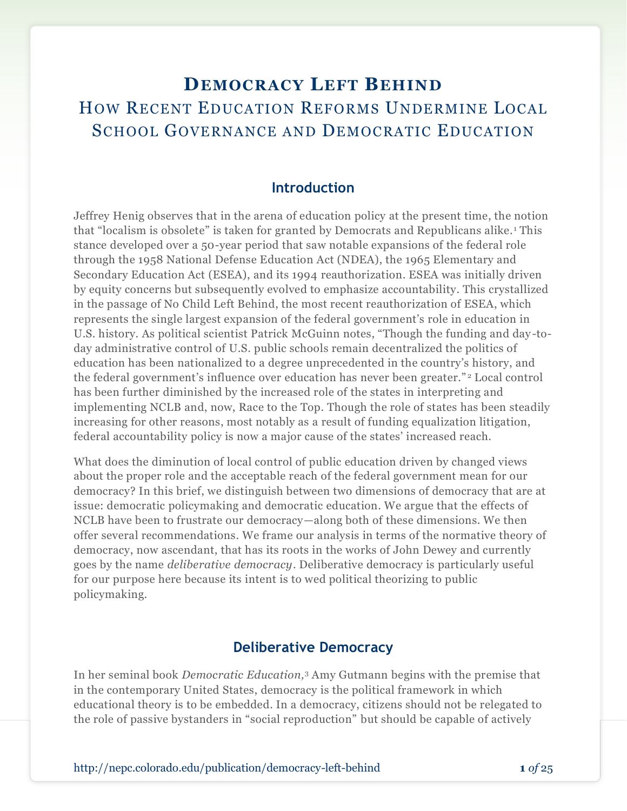# **DEMOCRACY LEFT BEHIND** HOW RECENT EDUCATION REFORMS UNDERMINE LOCAL SCHOOL GOVERNANCE AND DEMOCRATIC EDUCATION

## **Introduction**

Jeffrey Henig observes that in the arena of education policy at the present time, the notion that "localism is obsolete" is taken for granted by Democrats and Republicans alike. <sup>1</sup> This stance developed over a 50-year period that saw notable expansions of the federal role through the 1958 National Defense Education Act (NDEA), the 1965 Elementary and Secondary Education Act (ESEA), and its 1994 reauthorization. ESEA was initially driven by equity concerns but subsequently evolved to emphasize accountability. This crystallized in the passage of No Child Left Behind, the most recent reauthorization of ESEA, which represents the single largest expansion of the federal government's role in education in U.S. history. As political scientist Patrick McGuinn notes, "Though the funding and day -today administrative control of U.S. public schools remain decentralized the politics of education has been nationalized to a degree unprecedented in the country's history, and the federal government's influence over education has never been greater." <sup>2</sup> Local control has been further diminished by the increased role of the states in interpreting and implementing NCLB and, now, Race to the Top. Though the role of states has been steadily increasing for other reasons, most notably as a result of funding equalization litigation, federal accountability policy is now a major cause of the states' increased reach.

What does the diminution of local control of public education driven by changed views about the proper role and the acceptable reach of the federal government mean for our democracy? In this brief, we distinguish between two dimensions of democracy that are at issue: democratic policymaking and democratic education. We argue that the effects of NCLB have been to frustrate our democracy—along both of these dimensions. We then offer several recommendations. We frame our analysis in terms of the normative theory of democracy, now ascendant, that has its roots in the works of John Dewey and currently goes by the name *deliberative democracy*. Deliberative democracy is particularly useful for our purpose here because its intent is to wed political theorizing to public policymaking.

### **Deliberative Democracy**

In her seminal book *Democratic Education,*<sup>3</sup> Amy Gutmann begins with the premise that in the contemporary United States, democracy is the political framework in which educational theory is to be embedded. In a democracy, citizens should not be relegated to the role of passive bystanders in "social reproduction" but should be capable of actively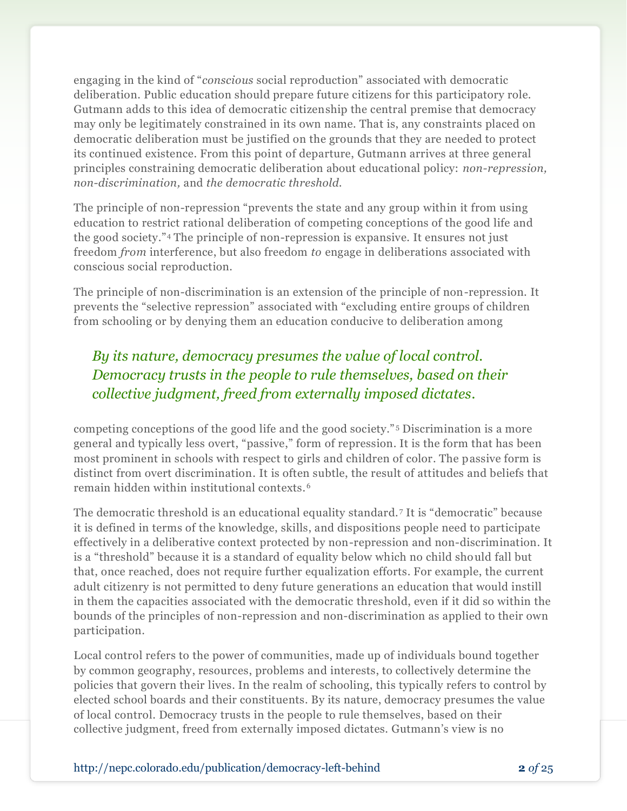engaging in the kind of "*conscious* social reproduction" associated with democratic deliberation. Public education should prepare future citizens for this participatory role. Gutmann adds to this idea of democratic citizenship the central premise that democracy may only be legitimately constrained in its own name. That is, any constraints placed on democratic deliberation must be justified on the grounds that they are needed to protect its continued existence. From this point of departure, Gutmann arrives at three general principles constraining democratic deliberation about educational policy: *non-repression, non-discrimination,* and *the democratic threshold.* 

The principle of non-repression "prevents the state and any group within it from using education to restrict rational deliberation of competing conceptions of the good life and the good society."<sup>4</sup> The principle of non-repression is expansive. It ensures not just freedom *from* interference, but also freedom *to* engage in deliberations associated with conscious social reproduction.

The principle of non-discrimination is an extension of the principle of non-repression. It prevents the "selective repression" associated with "excluding entire groups of children from schooling or by denying them an education conducive to deliberation among

# *By its nature, democracy presumes the value of local control. Democracy trusts in the people to rule themselves, based on their collective judgment, freed from externally imposed dictates.*

competing conceptions of the good life and the good society." <sup>5</sup> Discrimination is a more general and typically less overt, "passive," form of repression. It is the form that has been most prominent in schools with respect to girls and children of color. The passive form is distinct from overt discrimination. It is often subtle, the result of attitudes and beliefs that remain hidden within institutional contexts.<sup>6</sup>

The democratic threshold is an educational equality standard. <sup>7</sup> It is "democratic" because it is defined in terms of the knowledge, skills, and dispositions people need to participate effectively in a deliberative context protected by non-repression and non-discrimination. It is a "threshold" because it is a standard of equality below which no child should fall but that, once reached, does not require further equalization efforts. For example, the current adult citizenry is not permitted to deny future generations an education that would instill in them the capacities associated with the democratic threshold, even if it did so within the bounds of the principles of non-repression and non-discrimination as applied to their own participation.

Local control refers to the power of communities, made up of individuals bound together by common geography, resources, problems and interests, to collectively determine the policies that govern their lives. In the realm of schooling, this typically refers to control by elected school boards and their constituents. By its nature, democracy presumes the value of local control. Democracy trusts in the people to rule themselves, based on their collective judgment, freed from externally imposed dictates. Gutmann's view is no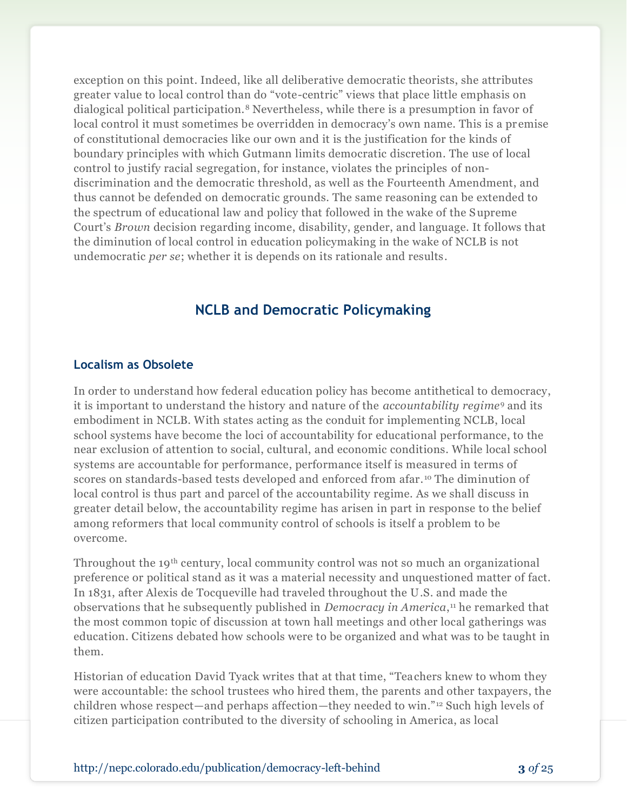exception on this point. Indeed, like all deliberative democratic theorists, she attributes greater value to local control than do "vote-centric" views that place little emphasis on dialogical political participation.<sup>8</sup> Nevertheless, while there is a presumption in favor of local control it must sometimes be overridden in democracy's own name. This is a premise of constitutional democracies like our own and it is the justification for the kinds of boundary principles with which Gutmann limits democratic discretion. The use of local control to justify racial segregation, for instance, violates the principles of nondiscrimination and the democratic threshold, as well as the Fourteenth Amendment, and thus cannot be defended on democratic grounds. The same reasoning can be extended to the spectrum of educational law and policy that followed in the wake of the Supreme Court's *Brown* decision regarding income, disability, gender, and language. It follows that the diminution of local control in education policymaking in the wake of NCLB is not undemocratic *per se*; whether it is depends on its rationale and results.

### **NCLB and Democratic Policymaking**

#### **Localism as Obsolete**

In order to understand how federal education policy has become antithetical to democracy, it is important to understand the history and nature of the *accountability regime*<sup>9</sup> and its embodiment in NCLB. With states acting as the conduit for implementing NCLB, local school systems have become the loci of accountability for educational performance, to the near exclusion of attention to social, cultural, and economic conditions. While local school systems are accountable for performance, performance itself is measured in terms of scores on standards-based tests developed and enforced from afar. <sup>10</sup> The diminution of local control is thus part and parcel of the accountability regime. As we shall discuss in greater detail below, the accountability regime has arisen in part in response to the belief among reformers that local community control of schools is itself a problem to be overcome.

Throughout the 19th century, local community control was not so much an organizational preference or political stand as it was a material necessity and unquestioned matter of fact. In 1831, after Alexis de Tocqueville had traveled throughout the U.S. and made the observations that he subsequently published in *Democracy in America*, <sup>11</sup> he remarked that the most common topic of discussion at town hall meetings and other local gatherings was education. Citizens debated how schools were to be organized and what was to be taught in them.

Historian of education David Tyack writes that at that time, "Teachers knew to whom they were accountable: the school trustees who hired them, the parents and other taxpayers, the children whose respect—and perhaps affection—they needed to win." <sup>12</sup> Such high levels of citizen participation contributed to the diversity of schooling in America, as local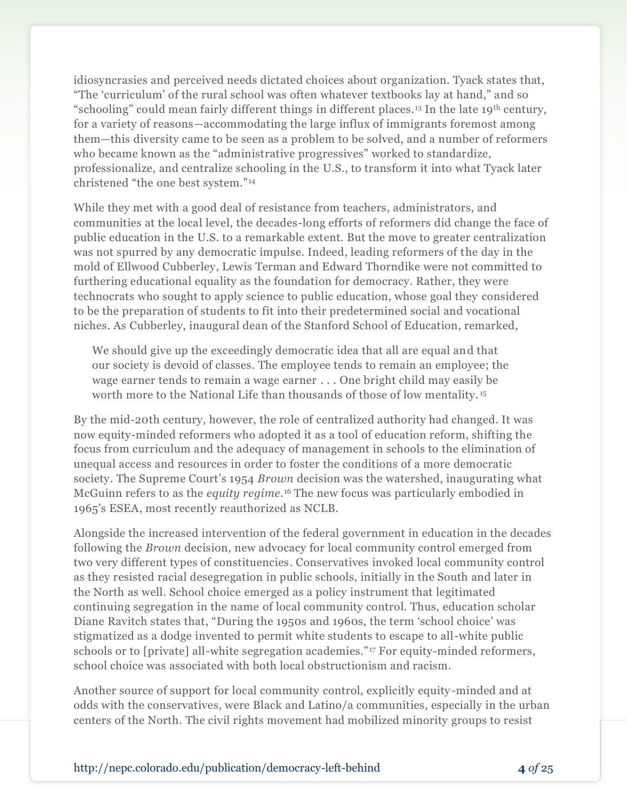idiosyncrasies and perceived needs dictated choices about organization. Tyack states that, "The 'curriculum' of the rural school was often whatever textbooks lay at hand," and so "schooling" could mean fairly different things in different places.<sup>13</sup> In the late 19th century, for a variety of reasons—accommodating the large influx of immigrants foremost among them—this diversity came to be seen as a problem to be solved, and a number of reformers who became known as the "administrative progressives" worked to standardize, professionalize, and centralize schooling in the U.S., to transform it into what Tyack later christened "the one best system." <sup>14</sup>

While they met with a good deal of resistance from teachers, administrators, and communities at the local level, the decades-long efforts of reformers did change the face of public education in the U.S. to a remarkable extent. But the move to greater centralization was not spurred by any democratic impulse. Indeed, leading reformers of the day in the mold of Ellwood Cubberley, Lewis Terman and Edward Thorndike were not committed to furthering educational equality as the foundation for democracy. Rather, they were technocrats who sought to apply science to public education, whose goal they considered to be the preparation of students to fit into their predetermined social and vocational niches. As Cubberley, inaugural dean of the Stanford School of Education, remarked,

We should give up the exceedingly democratic idea that all are equal and that our society is devoid of classes. The employee tends to remain an employee; the wage earner tends to remain a wage earner . . . One bright child may easily be worth more to the National Life than thousands of those of low mentality. <sup>15</sup>

By the mid-20th century, however, the role of centralized authority had changed. It was now equity-minded reformers who adopted it as a tool of education reform, shifting the focus from curriculum and the adequacy of management in schools to the elimination of unequal access and resources in order to foster the conditions of a more democratic society. The Supreme Court's 1954 *Brown* decision was the watershed, inaugurating what McGuinn refers to as the *equity regime.*<sup>16</sup> The new focus was particularly embodied in 1965's ESEA, most recently reauthorized as NCLB.

Alongside the increased intervention of the federal government in education in the decades following the *Brown* decision*,* new advocacy for local community control emerged from two very different types of constituencies. Conservatives invoked local community control as they resisted racial desegregation in public schools, initially in the South and later in the North as well. School choice emerged as a policy instrument that legitimated continuing segregation in the name of local community control. Thus, education scholar Diane Ravitch states that, "During the 1950s and 1960s, the term 'school choice' was stigmatized as a dodge invented to permit white students to escape to all-white public schools or to [private] all-white segregation academies." <sup>17</sup> For equity-minded reformers, school choice was associated with both local obstructionism and racism.

Another source of support for local community control, explicitly equity-minded and at odds with the conservatives, were Black and Latino/a communities, especially in the urban centers of the North. The civil rights movement had mobilized minority groups to resist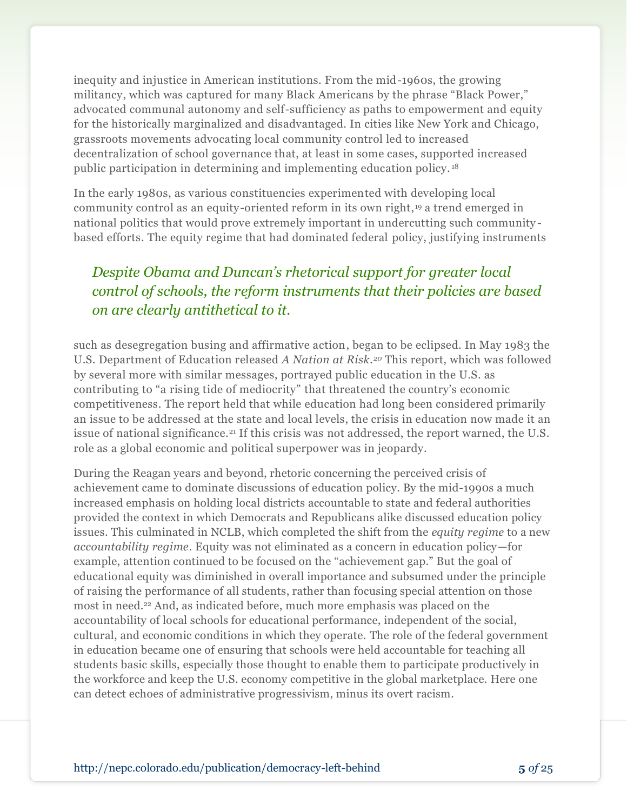inequity and injustice in American institutions. From the mid-1960s, the growing militancy, which was captured for many Black Americans by the phrase "Black Power," advocated communal autonomy and self-sufficiency as paths to empowerment and equity for the historically marginalized and disadvantaged. In cities like New York and Chicago, grassroots movements advocating local community control led to increased decentralization of school governance that, at least in some cases, supported increased public participation in determining and implementing education policy. <sup>18</sup>

In the early 1980s, as various constituencies experimented with developing local community control as an equity-oriented reform in its own right, <sup>19</sup> a trend emerged in national politics that would prove extremely important in undercutting such community based efforts. The equity regime that had dominated federal policy, justifying instruments

# *Despite Obama and Duncan's rhetorical support for greater local control of schools, the reform instruments that their policies are based on are clearly antithetical to it.*

such as desegregation busing and affirmative action, began to be eclipsed. In May 1983 the U.S. Department of Education released *A Nation at Risk.<sup>20</sup>* This report, which was followed by several more with similar messages, portrayed public education in the U.S. as contributing to "a rising tide of mediocrity" that threatened the country's economic competitiveness. The report held that while education had long been considered primarily an issue to be addressed at the state and local levels, the crisis in education now made it an issue of national significance.<sup>21</sup> If this crisis was not addressed, the report warned, the U.S. role as a global economic and political superpower was in jeopardy.

During the Reagan years and beyond, rhetoric concerning the perceived crisis of achievement came to dominate discussions of education policy. By the mid-1990s a much increased emphasis on holding local districts accountable to state and federal authorities provided the context in which Democrats and Republicans alike discussed education policy issues. This culminated in NCLB, which completed the shift from the *equity regime* to a new *accountability regime*. Equity was not eliminated as a concern in education policy—for example, attention continued to be focused on the "achievement gap." But the goal of educational equity was diminished in overall importance and subsumed under the principle of raising the performance of all students, rather than focusing special attention on those most in need.<sup>22</sup> And, as indicated before, much more emphasis was placed on the accountability of local schools for educational performance, independent of the social, cultural, and economic conditions in which they operate. The role of the federal government in education became one of ensuring that schools were held accountable for teaching all students basic skills, especially those thought to enable them to participate productively in the workforce and keep the U.S. economy competitive in the global marketplace. Here one can detect echoes of administrative progressivism, minus its overt racism.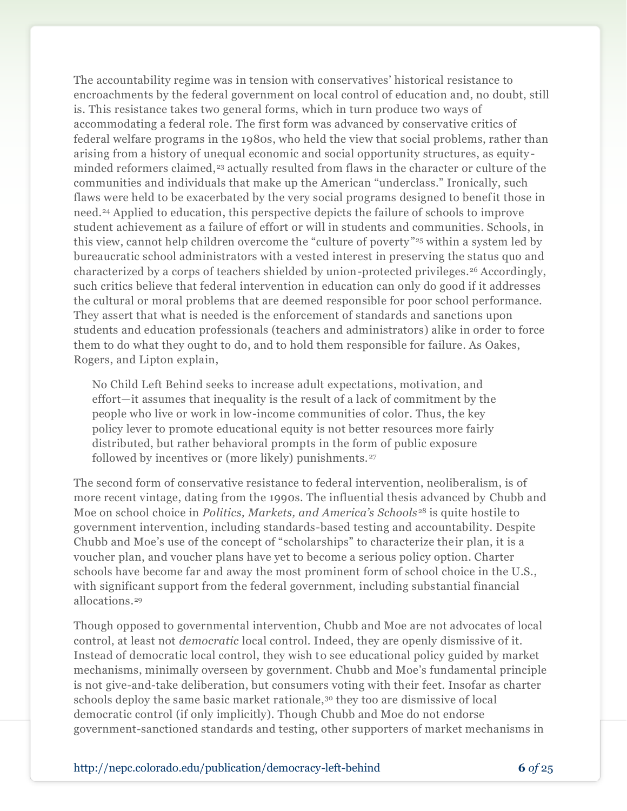The accountability regime was in tension with conservatives' historical resistance to encroachments by the federal government on local control of education and, no doubt, still is. This resistance takes two general forms, which in turn produce two ways of accommodating a federal role. The first form was advanced by conservative critics of federal welfare programs in the 1980s, who held the view that social problems, rather than arising from a history of unequal economic and social opportunity structures, as equity minded reformers claimed,<sup>23</sup> actually resulted from flaws in the character or culture of the communities and individuals that make up the American "underclass." Ironically, such flaws were held to be exacerbated by the very social programs designed to benefit those in need.<sup>24</sup> Applied to education, this perspective depicts the failure of schools to improve student achievement as a failure of effort or will in students and communities. Schools, in this view, cannot help children overcome the "culture of poverty" <sup>25</sup> within a system led by bureaucratic school administrators with a vested interest in preserving the status quo and characterized by a corps of teachers shielded by union-protected privileges.<sup>26</sup> Accordingly, such critics believe that federal intervention in education can only do good if it addresses the cultural or moral problems that are deemed responsible for poor school performance. They assert that what is needed is the enforcement of standards and sanctions upon students and education professionals (teachers and administrators) alike in order to force them to do what they ought to do, and to hold them responsible for failure. As Oakes, Rogers, and Lipton explain,

No Child Left Behind seeks to increase adult expectations, motivation, and effort—it assumes that inequality is the result of a lack of commitment by the people who live or work in low-income communities of color. Thus, the key policy lever to promote educational equity is not better resources more fairly distributed, but rather behavioral prompts in the form of public exposure followed by incentives or (more likely) punishments.<sup>27</sup>

The second form of conservative resistance to federal intervention, neoliberalism, is of more recent vintage, dating from the 1990s. The influential thesis advanced by Chubb and Moe on school choice in *Politics, Markets, and America's Schools* <sup>28</sup> is quite hostile to government intervention, including standards-based testing and accountability. Despite Chubb and Moe's use of the concept of "scholarships" to characterize their plan, it is a voucher plan, and voucher plans have yet to become a serious policy option. Charter schools have become far and away the most prominent form of school choice in the U.S., with significant support from the federal government, including substantial financial allocations.<sup>29</sup>

Though opposed to governmental intervention, Chubb and Moe are not advocates of local control, at least not *democratic* local control. Indeed, they are openly dismissive of it. Instead of democratic local control, they wish to see educational policy guided by market mechanisms, minimally overseen by government. Chubb and Moe's fundamental principle is not give-and-take deliberation, but consumers voting with their feet. Insofar as charter schools deploy the same basic market rationale,<sup>30</sup> they too are dismissive of local democratic control (if only implicitly). Though Chubb and Moe do not endorse government-sanctioned standards and testing, other supporters of market mechanisms in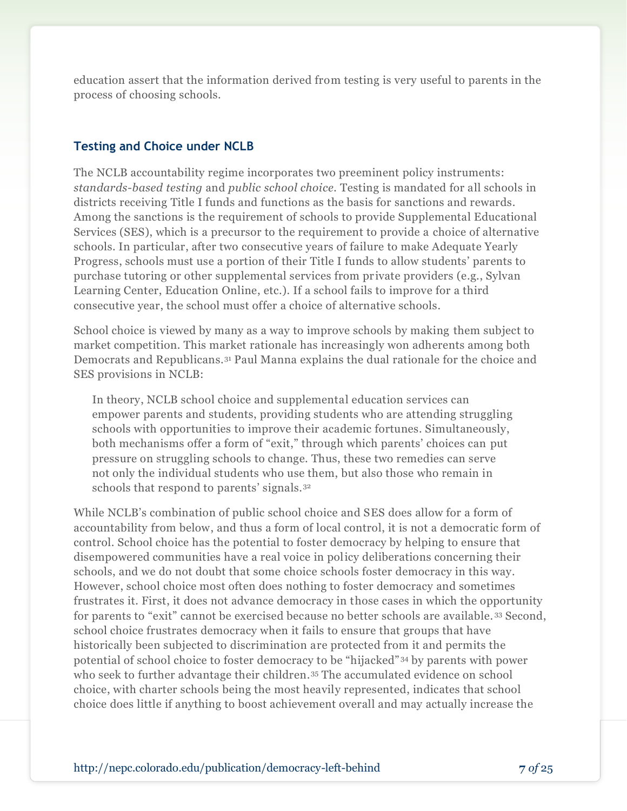education assert that the information derived from testing is very useful to parents in the process of choosing schools.

#### **Testing and Choice under NCLB**

The NCLB accountability regime incorporates two preeminent policy instruments: *standards-based testing* and *public school choice.* Testing is mandated for all schools in districts receiving Title I funds and functions as the basis for sanctions and rewards. Among the sanctions is the requirement of schools to provide Supplemental Educational Services (SES), which is a precursor to the requirement to provide a choice of alternative schools. In particular, after two consecutive years of failure to make Adequate Yearly Progress, schools must use a portion of their Title I funds to allow students' parents to purchase tutoring or other supplemental services from private providers (e.g., Sylvan Learning Center, Education Online, etc.). If a school fails to improve for a third consecutive year, the school must offer a choice of alternative schools.

School choice is viewed by many as a way to improve schools by making them subject to market competition. This market rationale has increasingly won adherents among both Democrats and Republicans.<sup>31</sup> Paul Manna explains the dual rationale for the choice and SES provisions in NCLB:

In theory, NCLB school choice and supplemental education services can empower parents and students, providing students who are attending struggling schools with opportunities to improve their academic fortunes. Simultaneously, both mechanisms offer a form of "exit," through which parents' choices can put pressure on struggling schools to change. Thus, these two remedies can serve not only the individual students who use them, but also those who remain in schools that respond to parents' signals.<sup>32</sup>

While NCLB's combination of public school choice and SES does allow for a form of accountability from below, and thus a form of local control, it is not a democratic form of control. School choice has the potential to foster democracy by helping to ensure that disempowered communities have a real voice in policy deliberations concerning their schools, and we do not doubt that some choice schools foster democracy in this way. However, school choice most often does nothing to foster democracy and sometimes frustrates it. First, it does not advance democracy in those cases in which the opportunity for parents to "exit" cannot be exercised because no better schools are available. <sup>33</sup> Second, school choice frustrates democracy when it fails to ensure that groups that have historically been subjected to discrimination are protected from it and permits the potential of school choice to foster democracy to be "hijacked" <sup>34</sup> by parents with power who seek to further advantage their children.<sup>35</sup> The accumulated evidence on school choice, with charter schools being the most heavily represented, indicates that school choice does little if anything to boost achievement overall and may actually increase the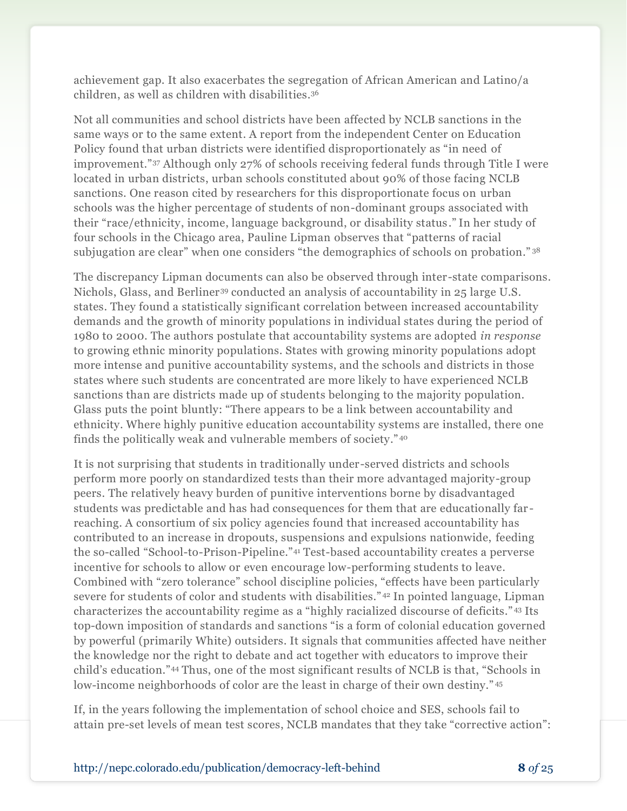achievement gap. It also exacerbates the segregation of African American and Latino/a children, as well as children with disabilities.<sup>36</sup>

Not all communities and school districts have been affected by NCLB sanctions in the same ways or to the same extent. A report from the independent Center on Education Policy found that urban districts were identified disproportionately as "in need of improvement."<sup>37</sup> Although only 27% of schools receiving federal funds through Title I were located in urban districts, urban schools constituted about 90% of those facing NCLB sanctions. One reason cited by researchers for this disproportionate focus on urban schools was the higher percentage of students of non-dominant groups associated with their "race/ethnicity, income, language background, or disability status ." In her study of four schools in the Chicago area, Pauline Lipman observes that "patterns of racial subjugation are clear" when one considers "the demographics of schools on probation." 38

The discrepancy Lipman documents can also be observed through inter-state comparisons. Nichols, Glass, and Berliner<sup>39</sup> conducted an analysis of accountability in 25 large U.S. states. They found a statistically significant correlation between increased accountability demands and the growth of minority populations in individual states during the period of 1980 to 2000. The authors postulate that accountability systems are adopted *in response*  to growing ethnic minority populations. States with growing minority populations adopt more intense and punitive accountability systems, and the schools and districts in those states where such students are concentrated are more likely to have experienced NCLB sanctions than are districts made up of students belonging to the majority population. Glass puts the point bluntly: "There appears to be a link between accountability and ethnicity. Where highly punitive education accountability systems are installed, there one finds the politically weak and vulnerable members of society." <sup>40</sup>

It is not surprising that students in traditionally under-served districts and schools perform more poorly on standardized tests than their more advantaged majority-group peers. The relatively heavy burden of punitive interventions borne by disadvantaged students was predictable and has had consequences for them that are educationally far reaching. A consortium of six policy agencies found that increased accountability has contributed to an increase in dropouts, suspensions and expulsions nationwide, feeding the so-called "School-to-Prison-Pipeline."<sup>41</sup> Test-based accountability creates a perverse incentive for schools to allow or even encourage low-performing students to leave. Combined with "zero tolerance" school discipline policies, "effects have been particularly severe for students of color and students with disabilities." <sup>42</sup> In pointed language, Lipman characterizes the accountability regime as a "highly racialized discourse of deficits." <sup>43</sup> Its top-down imposition of standards and sanctions "is a form of colonial education governed by powerful (primarily White) outsiders. It signals that communities affected have neither the knowledge nor the right to debate and act together with educators to improve their child's education."<sup>44</sup> Thus, one of the most significant results of NCLB is that, "Schools in low-income neighborhoods of color are the least in charge of their own destiny." <sup>45</sup>

If, in the years following the implementation of school choice and SES, schools fail to attain pre-set levels of mean test scores, NCLB mandates that they take "corrective action":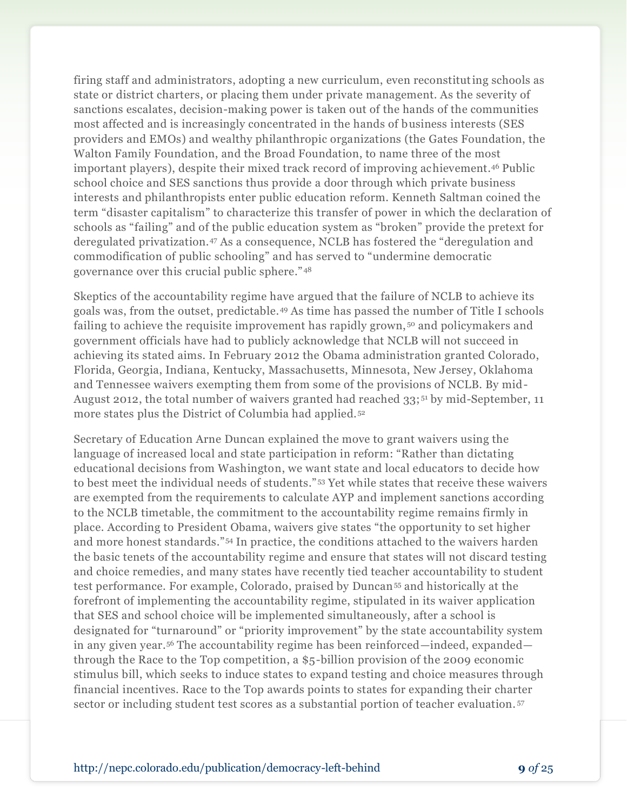firing staff and administrators, adopting a new curriculum, even reconstituting schools as state or district charters, or placing them under private management. As the severity of sanctions escalates, decision-making power is taken out of the hands of the communities most affected and is increasingly concentrated in the hands of business interests (SES providers and EMOs) and wealthy philanthropic organizations (the Gates Foundation, the Walton Family Foundation, and the Broad Foundation, to name three of the most important players), despite their mixed track record of improving achievement.<sup>46</sup> Public school choice and SES sanctions thus provide a door through which private business interests and philanthropists enter public education reform. Kenneth Saltman coined the term "disaster capitalism" to characterize this transfer of power in which the declaration of schools as "failing" and of the public education system as "broken" provide the pretext for deregulated privatization.<sup>47</sup> As a consequence, NCLB has fostered the "deregulation and commodification of public schooling" and has served to "undermine democratic governance over this crucial public sphere." <sup>48</sup>

Skeptics of the accountability regime have argued that the failure of NCLB to achieve its goals was, from the outset, predictable.<sup>49</sup> As time has passed the number of Title I schools failing to achieve the requisite improvement has rapidly grown, <sup>50</sup> and policymakers and government officials have had to publicly acknowledge that NCLB will not succeed in achieving its stated aims. In February 2012 the Obama administration granted Colorado, Florida, Georgia, Indiana, Kentucky, Massachusetts, Minnesota, New Jersey, Oklahoma and Tennessee waivers exempting them from some of the provisions of NCLB. By mid-August 2012, the total number of waivers granted had reached 33; <sup>51</sup> by mid-September, 11 more states plus the District of Columbia had applied. <sup>52</sup>

Secretary of Education Arne Duncan explained the move to grant waivers using the language of increased local and state participation in reform: "Rather than dictating educational decisions from Washington, we want state and local educators to decide how to best meet the individual needs of students." <sup>53</sup> Yet while states that receive these waivers are exempted from the requirements to calculate AYP and implement sanctions according to the NCLB timetable, the commitment to the accountability regime remains firmly in place. According to President Obama, waivers give states "the opportunity to set higher and more honest standards."<sup>54</sup> In practice, the conditions attached to the waivers harden the basic tenets of the accountability regime and ensure that states will not discard testing and choice remedies, and many states have recently tied teacher accountability to student test performance. For example, Colorado, praised by Duncan<sup>55</sup> and historically at the forefront of implementing the accountability regime, stipulated in its waiver application that SES and school choice will be implemented simultaneously, after a school is designated for "turnaround" or "priority improvement" by the state accountability system in any given year.<sup>56</sup> The accountability regime has been reinforced—indeed, expanded through the Race to the Top competition, a \$5-billion provision of the 2009 economic stimulus bill, which seeks to induce states to expand testing and choice measures through financial incentives. Race to the Top awards points to states for expanding their charter sector or including student test scores as a substantial portion of teacher evaluation. <sup>57</sup>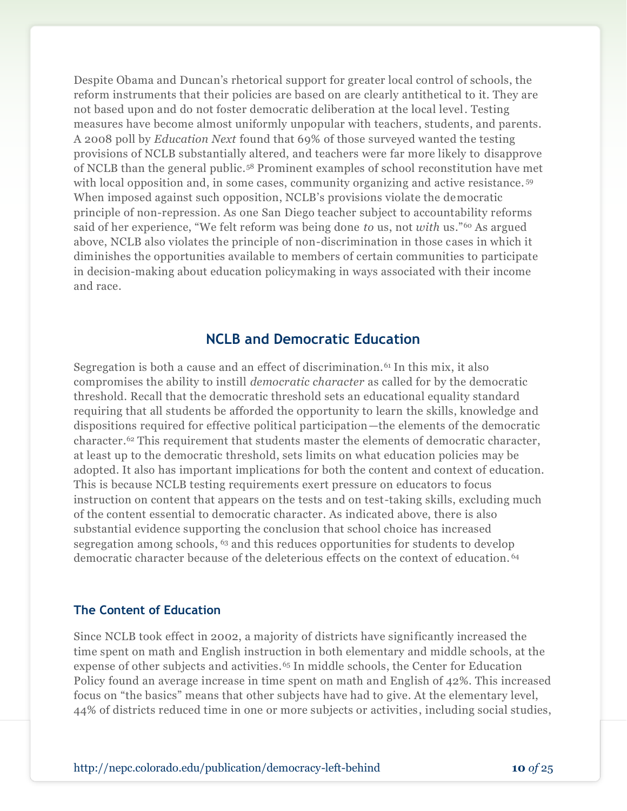Despite Obama and Duncan's rhetorical support for greater local control of schools, the reform instruments that their policies are based on are clearly antithetical to it. They are not based upon and do not foster democratic deliberation at the local level. Testing measures have become almost uniformly unpopular with teachers, students, and parents. A 2008 poll by *Education Next* found that 69% of those surveyed wanted the testing provisions of NCLB substantially altered, and teachers were far more likely to disapprove of NCLB than the general public.<sup>58</sup> Prominent examples of school reconstitution have met with local opposition and, in some cases, community organizing and active resistance.<sup>59</sup> When imposed against such opposition, NCLB's provisions violate the democratic principle of non-repression. As one San Diego teacher subject to accountability reforms said of her experience, "We felt reform was being done *to* us, not *with* us."<sup>60</sup> As argued above, NCLB also violates the principle of non-discrimination in those cases in which it diminishes the opportunities available to members of certain communities to participate in decision-making about education policymaking in ways associated with their income and race.

### **NCLB and Democratic Education**

Segregation is both a cause and an effect of discrimination.<sup>61</sup> In this mix, it also compromises the ability to instill *democratic character* as called for by the democratic threshold. Recall that the democratic threshold sets an educational equality standard requiring that all students be afforded the opportunity to learn the skills, knowledge and dispositions required for effective political participation—the elements of the democratic character. <sup>62</sup> This requirement that students master the elements of democratic character, at least up to the democratic threshold, sets limits on what education policies may be adopted. It also has important implications for both the content and context of education. This is because NCLB testing requirements exert pressure on educators to focus instruction on content that appears on the tests and on test-taking skills, excluding much of the content essential to democratic character. As indicated above, there is also substantial evidence supporting the conclusion that school choice has increased segregation among schools, <sup>63</sup> and this reduces opportunities for students to develop democratic character because of the deleterious effects on the context of education. <sup>64</sup>

#### **The Content of Education**

Since NCLB took effect in 2002, a majority of districts have significantly increased the time spent on math and English instruction in both elementary and middle schools, at the expense of other subjects and activities.<sup>65</sup> In middle schools, the Center for Education Policy found an average increase in time spent on math and English of 42%. This increased focus on "the basics" means that other subjects have had to give. At the elementary level, 44% of districts reduced time in one or more subjects or activities, including social studies,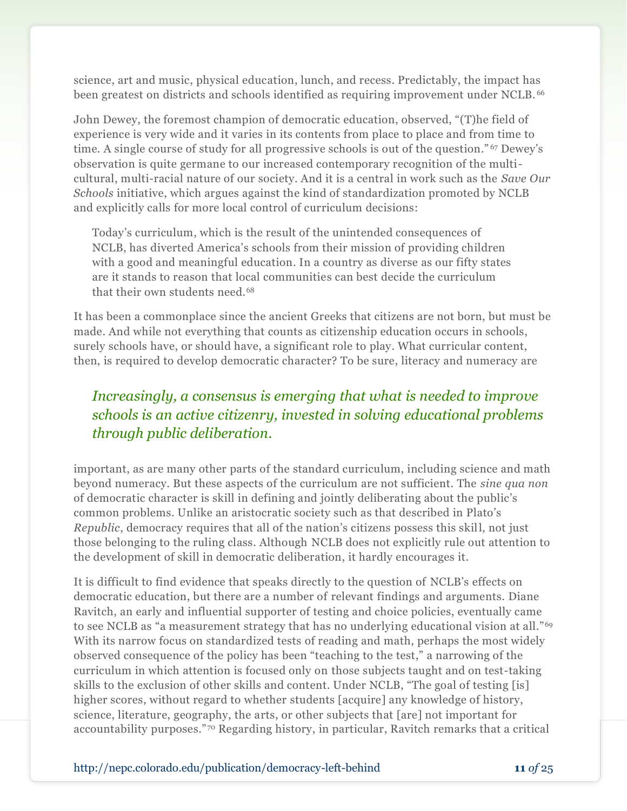science, art and music, physical education, lunch, and recess. Predictably, the impact has been greatest on districts and schools identified as requiring improvement under NCLB. <sup>66</sup>

John Dewey, the foremost champion of democratic education, observed, "(T)he field of experience is very wide and it varies in its contents from place to place and from time to time. A single course of study for all progressive schools is out of the question." <sup>67</sup> Dewey's observation is quite germane to our increased contemporary recognition of the multicultural, multi-racial nature of our society. And it is a central in work such as the *Save Our Schools* initiative, which argues against the kind of standardization promoted by NCLB and explicitly calls for more local control of curriculum decisions:

Today's curriculum, which is the result of the unintended consequences of NCLB, has diverted America's schools from their mission of providing children with a good and meaningful education. In a country as diverse as our fifty states are it stands to reason that local communities can best decide the curriculum that their own students need.<sup>68</sup>

It has been a commonplace since the ancient Greeks that citizens are not born, but must be made. And while not everything that counts as citizenship education occurs in schools, surely schools have, or should have, a significant role to play. What curricular content, then, is required to develop democratic character? To be sure, literacy and numeracy are

# *Increasingly, a consensus is emerging that what is needed to improve schools is an active citizenry, invested in solving educational problems through public deliberation.*

important, as are many other parts of the standard curriculum, including science and math beyond numeracy. But these aspects of the curriculum are not sufficient. The *sine qua non* of democratic character is skill in defining and jointly deliberating about the public's common problems. Unlike an aristocratic society such as that described in Plato's *Republic*, democracy requires that all of the nation's citizens possess this skill, not just those belonging to the ruling class. Although NCLB does not explicitly rule out attention to the development of skill in democratic deliberation, it hardly encourages it.

It is difficult to find evidence that speaks directly to the question of NCLB's effects on democratic education, but there are a number of relevant findings and arguments. Diane Ravitch, an early and influential supporter of testing and choice policies, eventually came to see NCLB as "a measurement strategy that has no underlying educational vision at all."<sup>69</sup> With its narrow focus on standardized tests of reading and math, perhaps the most widely observed consequence of the policy has been "teaching to the test," a narrowing of the curriculum in which attention is focused only on those subjects taught and on test-taking skills to the exclusion of other skills and content. Under NCLB, "The goal of testing [is] higher scores, without regard to whether students [acquire] any knowledge of history, science, literature, geography, the arts, or other subjects that [are] not important for accountability purposes."<sup>70</sup> Regarding history, in particular, Ravitch remarks that a critical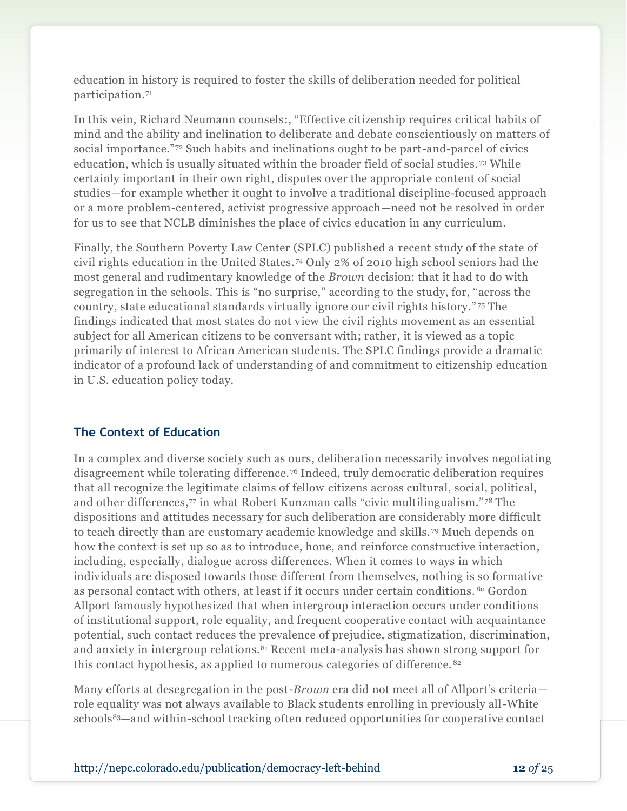education in history is required to foster the skills of deliberation needed for political participation.<sup>71</sup>

In this vein, Richard Neumann counsels:, "Effective citizenship requires critical habits of mind and the ability and inclination to deliberate and debate conscientiously on matters of social importance."<sup>72</sup> Such habits and inclinations ought to be part-and-parcel of civics education, which is usually situated within the broader field of social studies. <sup>73</sup> While certainly important in their own right, disputes over the appropriate content of social studies—for example whether it ought to involve a traditional discipline-focused approach or a more problem-centered, activist progressive approach—need not be resolved in order for us to see that NCLB diminishes the place of civics education in any curriculum.

Finally, the Southern Poverty Law Center (SPLC) published a recent study of the state of civil rights education in the United States. <sup>74</sup> Only 2% of 2010 high school seniors had the most general and rudimentary knowledge of the *Brown* decision: that it had to do with segregation in the schools. This is "no surprise," according to the study, for, "across the country, state educational standards virtually ignore our civil rights history." <sup>75</sup> The findings indicated that most states do not view the civil rights movement as an essential subject for all American citizens to be conversant with; rather, it is viewed as a topic primarily of interest to African American students. The SPLC findings provide a dramatic indicator of a profound lack of understanding of and commitment to citizenship education in U.S. education policy today.

#### **The Context of Education**

In a complex and diverse society such as ours, deliberation necessarily involves negotiating disagreement while tolerating difference. <sup>76</sup> Indeed, truly democratic deliberation requires that all recognize the legitimate claims of fellow citizens across cultural, social, political, and other differences, <sup>77</sup> in what Robert Kunzman calls "civic multilingualism." <sup>78</sup> The dispositions and attitudes necessary for such deliberation are considerably more difficult to teach directly than are customary academic knowledge and skills. <sup>79</sup> Much depends on how the context is set up so as to introduce, hone, and reinforce constructive interaction, including, especially, dialogue across differences. When it comes to ways in which individuals are disposed towards those different from themselves, nothing is so formative as personal contact with others, at least if it occurs under certain conditions. <sup>80</sup> Gordon Allport famously hypothesized that when intergroup interaction occurs under conditions of institutional support, role equality, and frequent cooperative contact with acquaintance potential, such contact reduces the prevalence of prejudice, stigmatization, discrimination, and anxiety in intergroup relations.<sup>81</sup> Recent meta-analysis has shown strong support for this contact hypothesis, as applied to numerous categories of difference. <sup>82</sup>

Many efforts at desegregation in the post-*Brown* era did not meet all of Allport's criteria role equality was not always available to Black students enrolling in previously all-White schools83—and within-school tracking often reduced opportunities for cooperative contact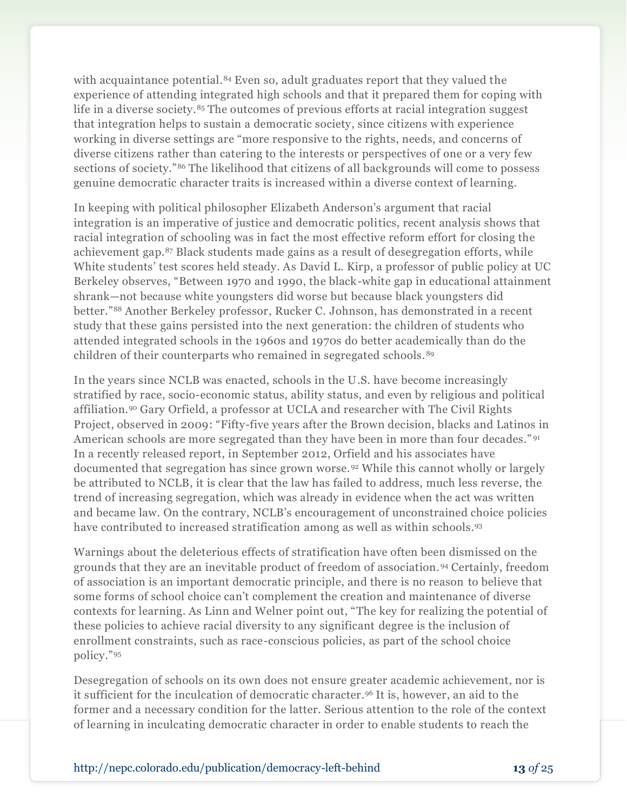with acquaintance potential.<sup>84</sup> Even so, adult graduates report that they valued the experience of attending integrated high schools and that it prepared them for coping with life in a diverse society.<sup>85</sup> The outcomes of previous efforts at racial integration suggest that integration helps to sustain a democratic society, since citizens with experience working in diverse settings are "more responsive to the rights, needs, and concerns of diverse citizens rather than catering to the interests or perspectives of one or a very few sections of society."<sup>86</sup> The likelihood that citizens of all backgrounds will come to possess genuine democratic character traits is increased within a diverse context of learning.

In keeping with political philosopher Elizabeth Anderson's argument that racial integration is an imperative of justice and democratic politics, recent analysis shows that racial integration of schooling was in fact the most effective reform effort for closing the achievement gap.<sup>87</sup> Black students made gains as a result of desegregation efforts, while White students' test scores held steady. As David L. Kirp, a professor of public policy at UC Berkeley observes, "Between 1970 and 1990, the black-white gap in educational attainment shrank—not because white youngsters did worse but because black youngsters did better."<sup>88</sup> Another Berkeley professor, Rucker C. Johnson, has demonstrated in a recent study that these gains persisted into the next generation: the children of students who attended integrated schools in the 1960s and 1970s do better academically than do the children of their counterparts who remained in segregated schools.<sup>89</sup>

In the years since NCLB was enacted, schools in the U.S. have become increasingly stratified by race, socio-economic status, ability status, and even by religious and political affiliation.<sup>90</sup> Gary Orfield, a professor at UCLA and researcher with The Civil Rights Project, observed in 2009: "Fifty-five years after the Brown decision, blacks and Latinos in American schools are more segregated than they have been in more than four decades."<sup>91</sup> In a recently released report, in September 2012, Orfield and his associates have documented that segregation has since grown worse.<sup>92</sup> While this cannot wholly or largely be attributed to NCLB, it is clear that the law has failed to address, much less reverse, the trend of increasing segregation, which was already in evidence when the act was written and became law. On the contrary, NCLB's encouragement of unconstrained choice policies have contributed to increased stratification among as well as within schools.<sup>93</sup>

Warnings about the deleterious effects of stratification have often been dismissed on the grounds that they are an inevitable product of freedom of association. <sup>94</sup> Certainly, freedom of association is an important democratic principle, and there is no reason to believe that some forms of school choice can't complement the creation and maintenance of diverse contexts for learning. As Linn and Welner point out, "The key for realizing the potential of these policies to achieve racial diversity to any significant degree is the inclusion of enrollment constraints, such as race-conscious policies, as part of the school choice policy."<sup>95</sup>

Desegregation of schools on its own does not ensure greater academic achievement, nor is it sufficient for the inculcation of democratic character.<sup>96</sup> It is, however, an aid to the former and a necessary condition for the latter. Serious attention to the role of the context of learning in inculcating democratic character in order to enable students to reach the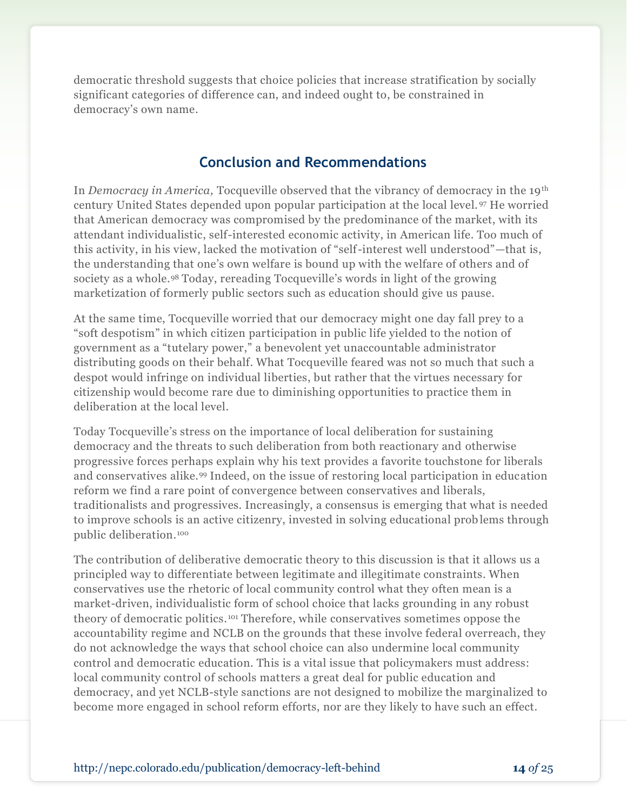democratic threshold suggests that choice policies that increase stratification by socially significant categories of difference can, and indeed ought to, be constrained in democracy's own name.

## **Conclusion and Recommendations**

In *Democracy in America,* Tocqueville observed that the vibrancy of democracy in the 19th century United States depended upon popular participation at the local level. <sup>97</sup> He worried that American democracy was compromised by the predominance of the market, with its attendant individualistic, self-interested economic activity, in American life. Too much of this activity, in his view, lacked the motivation of "self-interest well understood"—that is, the understanding that one's own welfare is bound up with the welfare of others and of society as a whole.<sup>98</sup> Today, rereading Tocqueville's words in light of the growing marketization of formerly public sectors such as education should give us pause.

At the same time, Tocqueville worried that our democracy might one day fall prey to a "soft despotism" in which citizen participation in public life yielded to the notion of government as a "tutelary power," a benevolent yet unaccountable administrator distributing goods on their behalf. What Tocqueville feared was not so much that such a despot would infringe on individual liberties, but rather that the virtues necessary for citizenship would become rare due to diminishing opportunities to practice them in deliberation at the local level.

Today Tocqueville's stress on the importance of local deliberation for sustaining democracy and the threats to such deliberation from both reactionary and otherwise progressive forces perhaps explain why his text provides a favorite touchstone for liberals and conservatives alike.<sup>99</sup> Indeed, on the issue of restoring local participation in education reform we find a rare point of convergence between conservatives and liberals, traditionalists and progressives. Increasingly, a consensus is emerging that what is needed to improve schools is an active citizenry, invested in solving educational prob lems through public deliberation.<sup>100</sup>

The contribution of deliberative democratic theory to this discussion is that it allows us a principled way to differentiate between legitimate and illegitimate constraints. When conservatives use the rhetoric of local community control what they often mean is a market-driven, individualistic form of school choice that lacks grounding in any robust theory of democratic politics. <sup>101</sup> Therefore, while conservatives sometimes oppose the accountability regime and NCLB on the grounds that these involve federal overreach, they do not acknowledge the ways that school choice can also undermine local community control and democratic education. This is a vital issue that policymakers must address: local community control of schools matters a great deal for public education and democracy, and yet NCLB-style sanctions are not designed to mobilize the marginalized to become more engaged in school reform efforts, nor are they likely to have such an effect.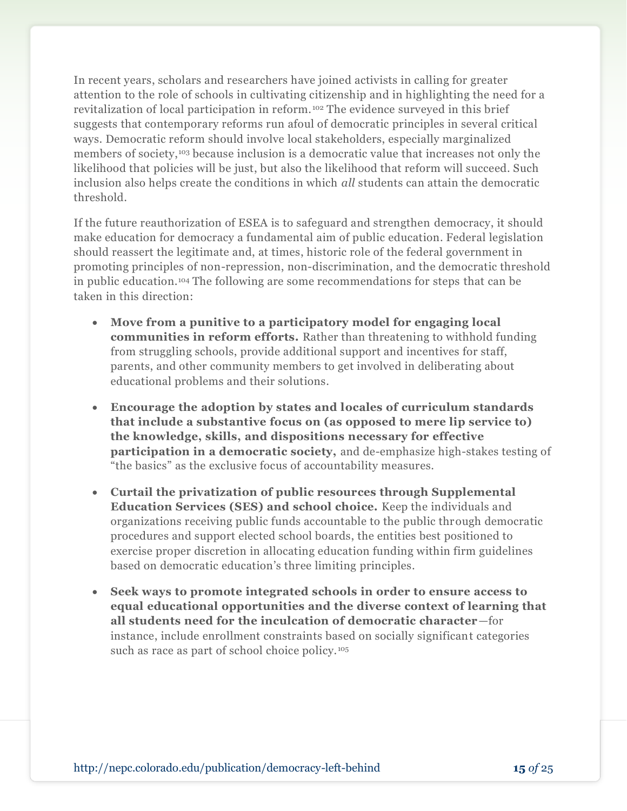In recent years, scholars and researchers have joined activists in calling for greater attention to the role of schools in cultivating citizenship and in highlighting the need for a revitalization of local participation in reform. <sup>102</sup> The evidence surveyed in this brief suggests that contemporary reforms run afoul of democratic principles in several critical ways. Democratic reform should involve local stakeholders, especially marginalized members of society,<sup>103</sup> because inclusion is a democratic value that increases not only the likelihood that policies will be just, but also the likelihood that reform will succeed. Such inclusion also helps create the conditions in which *all* students can attain the democratic threshold.

If the future reauthorization of ESEA is to safeguard and strengthen democracy, it should make education for democracy a fundamental aim of public education. Federal legislation should reassert the legitimate and, at times, historic role of the federal government in promoting principles of non-repression, non-discrimination, and the democratic threshold in public education.<sup>104</sup> The following are some recommendations for steps that can be taken in this direction:

- **Move from a punitive to a participatory model for engaging local communities in reform efforts.** Rather than threatening to withhold funding from struggling schools, provide additional support and incentives for staff, parents, and other community members to get involved in deliberating about educational problems and their solutions.
- **Encourage the adoption by states and locales of curriculum standards that include a substantive focus on (as opposed to mere lip service to) the knowledge, skills, and dispositions necessary for effective participation in a democratic society,** and de-emphasize high-stakes testing of "the basics" as the exclusive focus of accountability measures.
- **Curtail the privatization of public resources through Supplemental Education Services (SES) and school choice.** Keep the individuals and organizations receiving public funds accountable to the public through democratic procedures and support elected school boards, the entities best positioned to exercise proper discretion in allocating education funding within firm guidelines based on democratic education's three limiting principles.
- **Seek ways to promote integrated schools in order to ensure access to equal educational opportunities and the diverse context of learning that all students need for the inculcation of democratic character**—for instance, include enrollment constraints based on socially significant categories such as race as part of school choice policy.<sup>105</sup>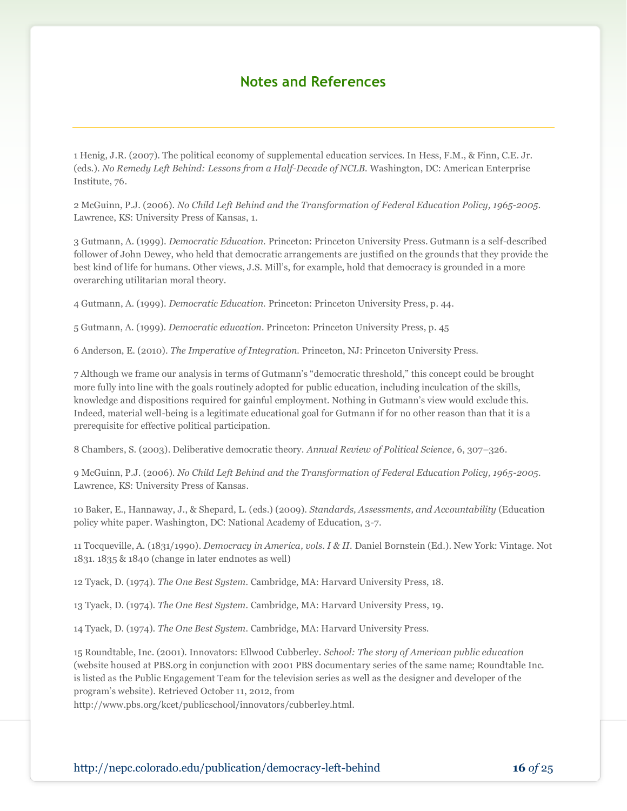## **Notes and References**

1 Henig, J.R. (2007). The political economy of supplemental education services. In Hess, F.M., & Finn, C.E. Jr. (eds.). *No Remedy Left Behind: Lessons from a Half-Decade of NCLB.* Washington, DC: American Enterprise Institute, 76.

2 McGuinn, P.J. (2006). *No Child Left Behind and the Transformation of Federal Education Policy, 1965-2005.* Lawrence, KS: University Press of Kansas, 1.

3 Gutmann, A. (1999). *Democratic Education.* Princeton: Princeton University Press. Gutmann is a self-described follower of John Dewey, who held that democratic arrangements are justified on the grounds that they provide the best kind of life for humans. Other views, J.S. Mill's, for example, hold that democracy is grounded in a more overarching utilitarian moral theory.

4 Gutmann, A. (1999). *Democratic Education.* Princeton: Princeton University Press, p. 44.

5 Gutmann, A. (1999). *Democratic education.* Princeton: Princeton University Press, p. 45

6 Anderson, E. (2010). *The Imperative of Integration.* Princeton, NJ: Princeton University Press.

7 Although we frame our analysis in terms of Gutmann's "democratic threshold," this concept could be brought more fully into line with the goals routinely adopted for public education, including inculcation of the skills, knowledge and dispositions required for gainful employment. Nothing in Gutmann's view would exclude this. Indeed, material well-being is a legitimate educational goal for Gutmann if for no other reason than that it is a prerequisite for effective political participation.

8 Chambers, S. (2003). Deliberative democratic theory. *Annual Review of Political Science,* 6, 307–326.

9 McGuinn, P.J. (2006). *No Child Left Behind and the Transformation of Federal Education Policy, 1965-2005.* Lawrence, KS: University Press of Kansas.

10 Baker, E., Hannaway, J., & Shepard, L. (eds.) (2009). *Standards, Assessments, and Accountability* (Education policy white paper. Washington, DC: National Academy of Education, 3-7.

11 Tocqueville, A. (1831/1990). *Democracy in America, vols. I & II.* Daniel Bornstein (Ed.). New York: Vintage. Not 1831. 1835 & 1840 (change in later endnotes as well)

12 Tyack, D. (1974). *The One Best System.* Cambridge, MA: Harvard University Press, 18.

13 Tyack, D. (1974). *The One Best System.* Cambridge, MA: Harvard University Press, 19.

14 Tyack, D. (1974). *The One Best System.* Cambridge, MA: Harvard University Press.

15 Roundtable, Inc. (2001). Innovators: Ellwood Cubberley. *School: The story of American public education* (website housed at PBS.org in conjunction with 2001 PBS documentary series of the same name; Roundtable Inc. is listed as the Public Engagement Team for the television series as well as the designer and developer of the program's website). Retrieved October 11, 2012, from

http://www.pbs.org/kcet/publicschool/innovators/cubberley.html.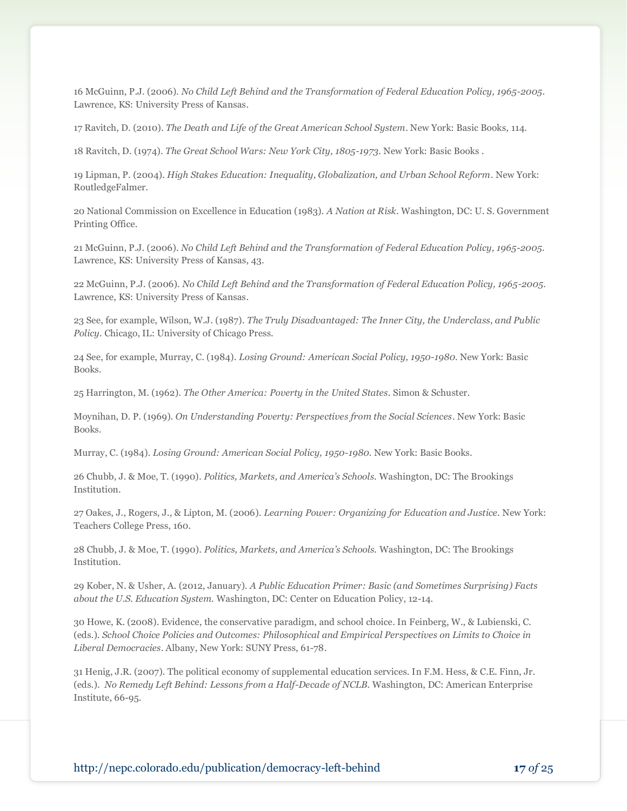16 McGuinn, P.J. (2006). *No Child Left Behind and the Transformation of Federal Education Policy, 1965-2005.* Lawrence, KS: University Press of Kansas.

17 Ravitch, D. (2010). *The Death and Life of the Great American School System.* New York: Basic Books, 114.

18 Ravitch, D. (1974). *The Great School Wars: New York City, 1805-1973.* New York: Basic Books .

19 Lipman, P. (2004). *High Stakes Education: Inequality, Globalization, and Urban School Reform*. New York: RoutledgeFalmer.

20 National Commission on Excellence in Education (1983). *A Nation at Risk.* Washington, DC: U. S. Government Printing Office.

21 McGuinn, P.J. (2006). *No Child Left Behind and the Transformation of Federal Education Policy, 1965-2005.* Lawrence, KS: University Press of Kansas, 43.

22 McGuinn, P.J. (2006). *No Child Left Behind and the Transformation of Federal Education Policy, 1965-2005.* Lawrence, KS: University Press of Kansas.

23 See, for example, Wilson, W.J. (1987). *The Truly Disadvantaged: The Inner City, the Underclass, and Public Policy.* Chicago, IL: University of Chicago Press.

24 See, for example, Murray, C. (1984). *Losing Ground: American Social Policy, 1950-1980.* New York: Basic Books.

25 Harrington, M. (1962). *The Other America: Poverty in the United States*. Simon & Schuster.

Moynihan, D. P. (1969). *On Understanding Poverty: Perspectives from the Social Sciences*. New York: Basic Books.

Murray, C. (1984). *Losing Ground: American Social Policy, 1950-1980.* New York: Basic Books.

26 Chubb, J. & Moe, T. (1990). *Politics, Markets, and America's Schools.* Washington, DC: The Brookings Institution.

27 Oakes, J., Rogers, J., & Lipton, M. (2006). *Learning Power: Organizing for Education and Justice.* New York: Teachers College Press, 160.

28 Chubb, J. & Moe, T. (1990). *Politics, Markets, and America's Schools.* Washington, DC: The Brookings Institution.

29 Kober, N. & Usher, A. (2012, January). *A Public Education Primer: Basic (and Sometimes Surprising) Facts about the U.S. Education System.* Washington, DC: Center on Education Policy, 12-14.

30 Howe, K. (2008). Evidence, the conservative paradigm, and school choice. In Feinberg, W., & Lubienski, C. (eds.). *School Choice Policies and Outcomes: Philosophical and Empirical Perspectives on Limits to Choice in Liberal Democracies.* Albany, New York: SUNY Press, 61-78.

31 Henig, J.R. (2007). The political economy of supplemental education services. In F.M. Hess, & C.E. Finn, Jr. (eds.). *No Remedy Left Behind: Lessons from a Half-Decade of NCLB.* Washington, DC: American Enterprise Institute, 66-95.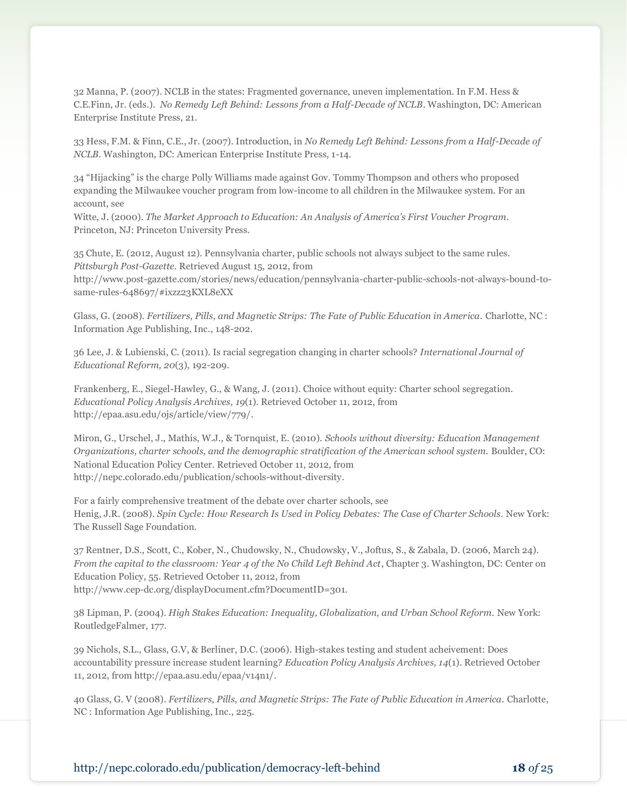32 Manna, P. (2007). NCLB in the states: Fragmented governance, uneven implementation. In F.M. Hess & C.E.Finn, Jr. (eds.). *No Remedy Left Behind: Lessons from a Half-Decade of NCLB*. Washington, DC: American Enterprise Institute Press, 21.

33 Hess, F.M. & Finn, C.E., Jr. (2007). Introduction, in *No Remedy Left Behind: Lessons from a Half-Decade of NCLB.* Washington, DC: American Enterprise Institute Press, 1-14.

34 "Hijacking" is the charge Polly Williams made against Gov. Tommy Thompson and others who proposed expanding the Milwaukee voucher program from low-income to all children in the Milwaukee system. For an account, see

Witte, J. (2000). *The Market Approach to Education: An Analysis of America's First Voucher Program*. Princeton, NJ: Princeton University Press.

35 Chute, E. (2012, August 12). Pennsylvania charter, public schools not always subject to the same rules. *Pittsburgh Post-Gazette.* Retrieved August 15, 2012, from

http://www.post-gazette.com/stories/news/education/pennsylvania-charter-public-schools-not-always-bound-tosame-rules-648697/#ixzz23KXL8eXX

Glass, G. (2008). *Fertilizers, Pills, and Magnetic Strips: The Fate of Public Education in America.* Charlotte, NC : Information Age Publishing, Inc., 148-202.

36 Lee, J. & Lubienski, C. (2011). Is racial segregation changing in charter schools? *International Journal of Educational Reform, 20*(3), 192-209.

Frankenberg, E., Siegel-Hawley, G., & Wang, J. (2011). Choice without equity: Charter school segregation. *Educational Policy Analysis Archives, 19*(1). Retrieved October 11, 2012, from http://epaa.asu.edu/ojs/article/view/779/.

Miron, G., Urschel, J., Mathis, W.J., & Tornquist, E. (2010). *Schools without diversity: Education Management Organizations, charter schools, and the demographic stratification of the American school system.* Boulder, CO: National Education Policy Center. Retrieved October 11, 2012, from http://nepc.colorado.edu/publication/schools-without-diversity.

For a fairly comprehensive treatment of the debate over charter schools, see Henig, J.R. (2008). *Spin Cycle: How Research Is Used in Policy Debates: The Case of Charter Schools.* New York: The Russell Sage Foundation.

37 Rentner, D.S., Scott, C., Kober, N., Chudowsky, N., Chudowsky, V., Joftus, S., & Zabala, D. (2006, March 24). *From the capital to the classroom: Year 4 of the No Child Left Behind Act*, Chapter 3. Washington, DC: Center on Education Policy, 55. Retrieved October 11, 2012, from http://www.cep-dc.org/displayDocument.cfm?DocumentID=301.

38 Lipman, P. (2004). *High Stakes Education: Inequality, Globalization, and Urban School Reform.* New York: RoutledgeFalmer, 177.

39 Nichols, S.L., Glass, G.V, & Berliner, D.C. (2006). High-stakes testing and student acheivement: Does accountability pressure increase student learning? *Education Policy Analysis Archives, 14*(1). Retrieved October 11, 2012, from http://epaa.asu.edu/epaa/v14n1/.

40 Glass, G. V (2008). *Fertilizers, Pills, and Magnetic Strips: The Fate of Public Education in America.* Charlotte, NC : Information Age Publishing, Inc., 225.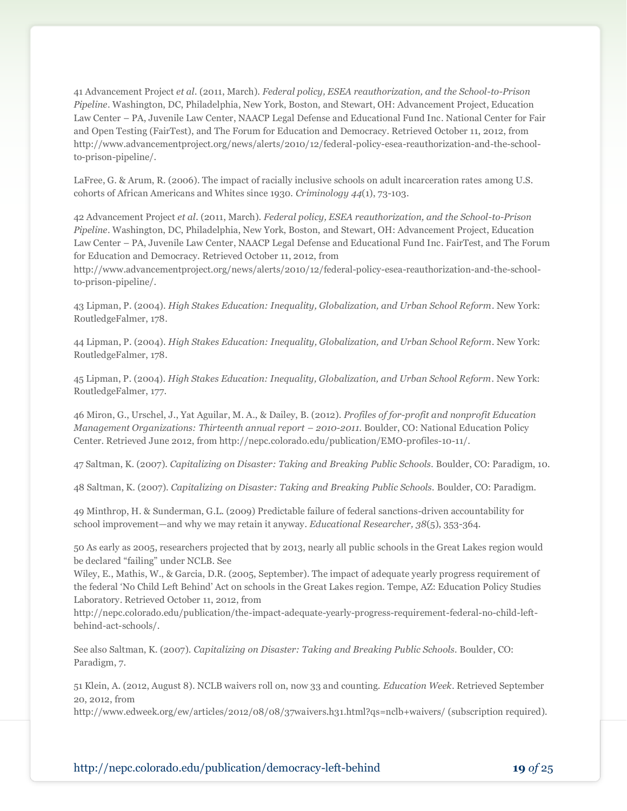41 Advancement Project *et al.* (2011, March). *Federal policy, ESEA reauthorization, and the School-to-Prison Pipeline*. Washington, DC, Philadelphia, New York, Boston, and Stewart, OH: Advancement Project, Education Law Center – PA, Juvenile Law Center, NAACP Legal Defense and Educational Fund Inc. National Center for Fair and Open Testing (FairTest), and The Forum for Education and Democracy. Retrieved October 11, 2012, from http://www.advancementproject.org/news/alerts/2010/12/federal-policy-esea-reauthorization-and-the-schoolto-prison-pipeline/.

LaFree, G. & Arum, R. (2006). The impact of racially inclusive schools on adult incarceration rates among U.S. cohorts of African Americans and Whites since 1930. *Criminology 44*(1), 73-103.

42 Advancement Project *et al.* (2011, March). *Federal policy, ESEA reauthorization, and the School-to-Prison Pipeline*. Washington, DC, Philadelphia, New York, Boston, and Stewart, OH: Advancement Project, Education Law Center – PA, Juvenile Law Center, NAACP Legal Defense and Educational Fund Inc. FairTest, and The Forum for Education and Democracy. Retrieved October 11, 2012, from

http://www.advancementproject.org/news/alerts/2010/12/federal-policy-esea-reauthorization-and-the-schoolto-prison-pipeline/.

43 Lipman, P. (2004). *High Stakes Education: Inequality, Globalization, and Urban School Reform*. New York: RoutledgeFalmer, 178.

44 Lipman, P. (2004). *High Stakes Education: Inequality, Globalization, and Urban School Reform*. New York: RoutledgeFalmer, 178.

45 Lipman, P. (2004). *High Stakes Education: Inequality, Globalization, and Urban School Reform*. New York: RoutledgeFalmer, 177.

46 Miron, G., Urschel, J., Yat Aguilar, M. A., & Dailey, B. (2012). *Profiles of for-profit and nonprofit Education Management Organizations: Thirteenth annual report - 2010-2011. Boulder, CO: National Education Policy* Center. Retrieved June 2012, from http://nepc.colorado.edu/publication/EMO-profiles-10-11/.

47 Saltman, K. (2007). *Capitalizing on Disaster: Taking and Breaking Public Schools.* Boulder, CO: Paradigm, 10.

48 Saltman, K. (2007). *Capitalizing on Disaster: Taking and Breaking Public Schools.* Boulder, CO: Paradigm.

49 Minthrop, H. & Sunderman, G.L. (2009) Predictable failure of federal sanctions-driven accountability for school improvement—and why we may retain it anyway. *Educational Researcher, 38*(5), 353-364.

50 As early as 2005, researchers projected that by 2013, nearly all public schools in the Great Lakes region would be declared "failing" under NCLB. See

Wiley, E., Mathis, W., & Garcia, D.R. (2005, September). The impact of adequate yearly progress requirement of the federal 'No Child Left Behind' Act on schools in the Great Lakes region. Tempe, AZ: Education Policy Studies Laboratory. Retrieved October 11, 2012, from

http://nepc.colorado.edu/publication/the-impact-adequate-yearly-progress-requirement-federal-no-child-leftbehind-act-schools/.

See also Saltman, K. (2007). *Capitalizing on Disaster: Taking and Breaking Public Schools.* Boulder, CO: Paradigm, 7.

51 Klein, A. (2012, August 8). NCLB waivers roll on, now 33 and counting. *Education Week*. Retrieved September 20, 2012, from

http://www.edweek.org/ew/articles/2012/08/08/37waivers.h31.html?qs=nclb+waivers/ (subscription required).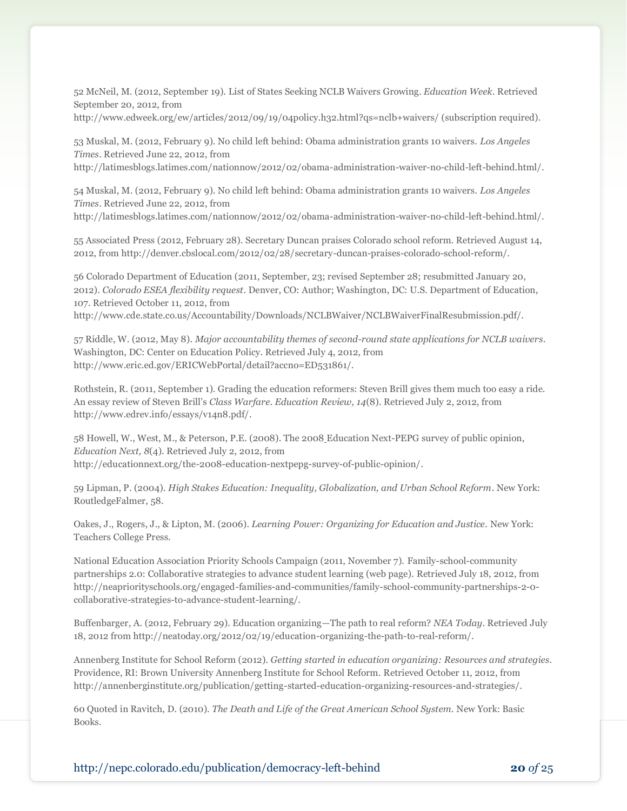52 McNeil, M. (2012, September 19). List of States Seeking NCLB Waivers Growing. *Education Week.* Retrieved September 20, 2012, from

http://www.edweek.org/ew/articles/2012/09/19/04policy.h32.html?qs=nclb+waivers/ (subscription required).

53 Muskal, M. (2012, February 9). No child left behind: Obama administration grants 10 waivers. *Los Angeles Times*. Retrieved June 22, 2012, from

http://latimesblogs.latimes.com/nationnow/2012/02/obama-administration-waiver-no-child-left-behind.html/.

54 Muskal, M. (2012, February 9). No child left behind: Obama administration grants 10 waivers. *Los Angeles Times*. Retrieved June 22, 2012, from http://latimesblogs.latimes.com/nationnow/2012/02/obama-administration-waiver-no-child-left-behind.html/.

55 Associated Press (2012, February 28). Secretary Duncan praises Colorado school reform. Retrieved August 14,

2012, from http://denver.cbslocal.com/2012/02/28/secretary-duncan-praises-colorado-school-reform/.

56 Colorado Department of Education (2011, September, 23; revised September 28; resubmitted January 20, 2012). *Colorado ESEA flexibility request*. Denver, CO: Author; Washington, DC: U.S. Department of Education, 107. Retrieved October 11, 2012, from

http://www.cde.state.co.us/Accountability/Downloads/NCLBWaiver/NCLBWaiverFinalResubmission.pdf/.

57 Riddle, W. (2012, May 8). *Major accountability themes of second-round state applications for NCLB waivers*. Washington, DC: Center on Education Policy. Retrieved July 4, 2012, from http://www.eric.ed.gov/ERICWebPortal/detail?accno=ED531861/.

Rothstein, R. (2011, September 1). Grading the education reformers: Steven Brill gives them much too easy a ride. An essay review of Steven Brill's *Class Warfare. Education Review, 14*(8). Retrieved July 2, 2012, from http://www.edrev.info/essays/v14n8.pdf/.

58 Howell, W., West, M., & Peterson, P.E. (2008). The 2008 Education Next-PEPG survey of public opinion, *Education Next, 8*(4). Retrieved July 2, 2012, from http://educationnext.org/the-2008-education-nextpepg-survey-of-public-opinion/.

59 Lipman, P. (2004). *High Stakes Education: Inequality, Globalization, and Urban School Reform*. New York: RoutledgeFalmer, 58.

Oakes, J., Rogers, J., & Lipton, M. (2006). *Learning Power: Organizing for Education and Justice.* New York: Teachers College Press.

National Education Association Priority Schools Campaign (2011, November 7). Family-school-community partnerships 2.0: Collaborative strategies to advance student learning (web page). Retrieved July 18, 2012, from http://neapriorityschools.org/engaged-families-and-communities/family-school-community-partnerships-2-0 collaborative-strategies-to-advance-student-learning/.

Buffenbarger, A. (2012, February 29). Education organizing—The path to real reform? *NEA Today*. Retrieved July 18, 2012 from http://neatoday.org/2012/02/19/education-organizing-the-path-to-real-reform/.

Annenberg Institute for School Reform (2012). *Getting started in education organizing: Resources and strategies.* Providence, RI: Brown University Annenberg Institute for School Reform. Retrieved October 11, 2012, from http://annenberginstitute.org/publication/getting-started-education-organizing-resources-and-strategies/.

60 Quoted in Ravitch, D. (2010). *The Death and Life of the Great American School System.* New York: Basic Books.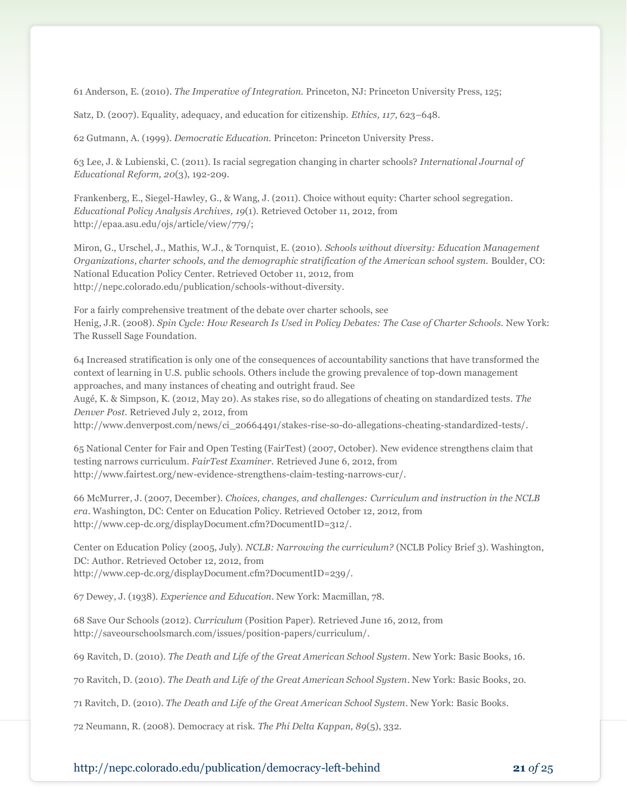61 Anderson, E. (2010). *The Imperative of Integration.* Princeton, NJ: Princeton University Press, 125;

Satz, D. (2007). Equality, adequacy, and education for citizenship. *Ethics, 117*, 623–648.

62 Gutmann, A. (1999). *Democratic Education.* Princeton: Princeton University Press.

63 Lee, J. & Lubienski, C. (2011). Is racial segregation changing in charter schools? *International Journal of Educational Reform, 20*(3), 192-209.

Frankenberg, E., Siegel-Hawley, G., & Wang, J. (2011). Choice without equity: Charter school segregation. *Educational Policy Analysis Archives, 19*(1). Retrieved October 11, 2012, from http://epaa.asu.edu/ojs/article/view/779/;

Miron, G., Urschel, J., Mathis, W.J., & Tornquist, E. (2010). *Schools without diversity: Education Management Organizations, charter schools, and the demographic stratification of the American school system.* Boulder, CO: National Education Policy Center. Retrieved October 11, 2012, from http://nepc.colorado.edu/publication/schools-without-diversity.

For a fairly comprehensive treatment of the debate over charter schools, see Henig, J.R. (2008). *Spin Cycle: How Research Is Used in Policy Debates: The Case of Charter Schools.* New York: The Russell Sage Foundation.

64 Increased stratification is only one of the consequences of accountability sanctions that have transformed the context of learning in U.S. public schools. Others include the growing prevalence of top-down management approaches, and many instances of cheating and outright fraud. See Augé, K. & Simpson, K. (2012, May 20). As stakes rise, so do allegations of cheating on standardized tests. *The Denver Post.* Retrieved July 2, 2012, from http://www.denverpost.com/news/ci\_20664491/stakes-rise-so-do-allegations-cheating-standardized-tests/.

65 National Center for Fair and Open Testing (FairTest) (2007, October). New evidence strengthens claim that testing narrows curriculum. *FairTest Examiner.* Retrieved June 6, 2012, from http://www.fairtest.org/new-evidence-strengthens-claim-testing-narrows-cur/.

66 McMurrer, J. (2007, December). *Choices, changes, and challenges: Curriculum and instruction in the NCLB era*. Washington, DC: Center on Education Policy. Retrieved October 12, 2012, from http://www.cep-dc.org/displayDocument.cfm?DocumentID=312/.

Center on Education Policy (2005, July). *NCLB: Narrowing the curriculum?* (NCLB Policy Brief 3). Washington, DC: Author. Retrieved October 12, 2012, from http://www.cep-dc.org/displayDocument.cfm?DocumentID=239/.

67 Dewey, J. (1938). *Experience and Education*. New York: Macmillan, 78.

68 Save Our Schools (2012). *Curriculum* (Position Paper). Retrieved June 16, 2012, from http://saveourschoolsmarch.com/issues/position-papers/curriculum/.

69 Ravitch, D. (2010). *The Death and Life of the Great American School System.* New York: Basic Books, 16.

70 Ravitch, D. (2010). *The Death and Life of the Great American School System.* New York: Basic Books, 20.

71 Ravitch, D. (2010). *The Death and Life of the Great American School System.* New York: Basic Books.

72 Neumann, R. (2008). Democracy at risk. *The Phi Delta Kappan, 89*(5), 332.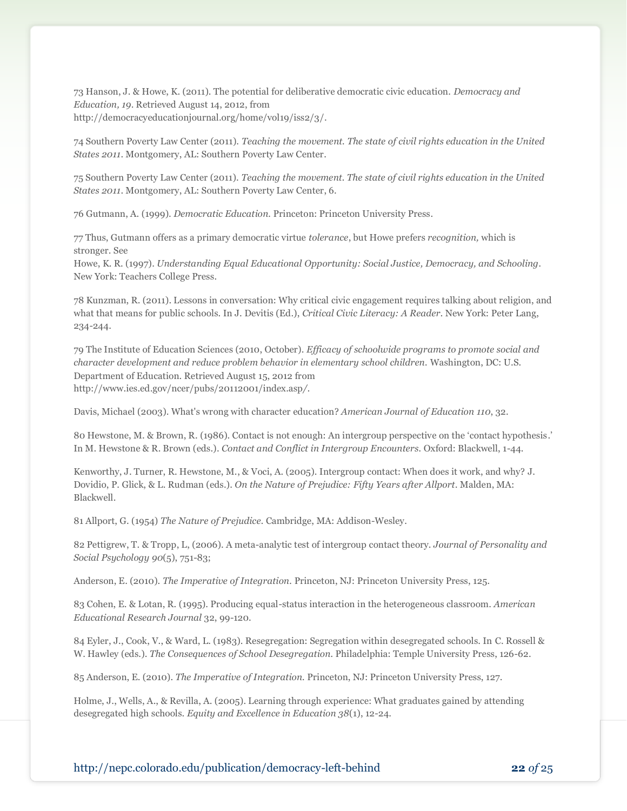73 Hanson, J. & Howe, K. (2011). The potential for deliberative democratic civic education. *Democracy and Education, 19*. Retrieved August 14, 2012, from http://democracyeducationjournal.org/home/vol19/iss2/3/.

74 Southern Poverty Law Center (2011). *Teaching the movement. The state of civil rights education in the United States 2011*. Montgomery, AL: Southern Poverty Law Center.

75 Southern Poverty Law Center (2011). *Teaching the movement. The state of civil rights education in the United States 2011*. Montgomery, AL: Southern Poverty Law Center, 6.

76 Gutmann, A. (1999). *Democratic Education.* Princeton: Princeton University Press.

77 Thus, Gutmann offers as a primary democratic virtue *tolerance*, but Howe prefers *recognition,* which is stronger. See

Howe, K. R. (1997). *Understanding Equal Educational Opportunity: Social Justice, Democracy, and Schooling.* New York: Teachers College Press.

78 Kunzman, R. (2011). Lessons in conversation: Why critical civic engagement requires talking about religion, and what that means for public schools. In J. Devitis (Ed.), *Critical Civic Literacy: A Reader.* New York: Peter Lang, 234-244.

79 The Institute of Education Sciences (2010, October). *Efficacy of schoolwide programs to promote social and character development and reduce problem behavior in elementary school children.* Washington, DC: U.S. Department of Education. Retrieved August 15, 2012 from http://www.ies.ed.gov/ncer/pubs/20112001/index.asp*/.*

Davis, Michael (2003). What's wrong with character education? *American Journal of Education 110*, 32.

80 Hewstone, M. & Brown, R. (1986). Contact is not enough: An intergroup perspective on the 'contact hypothesis.' In M. Hewstone & R. Brown (eds.). *Contact and Conflict in Intergroup Encounters.* Oxford: Blackwell, 1-44.

Kenworthy, J. Turner, R. Hewstone, M., & Voci, A. (2005). Intergroup contact: When does it work, and why? J. Dovidio, P. Glick, & L. Rudman (eds.). *On the Nature of Prejudice: Fifty Years after Allport.* Malden, MA: Blackwell.

81 Allport, G. (1954) *The Nature of Prejudice.* Cambridge, MA: Addison-Wesley.

82 Pettigrew, T. & Tropp, L, (2006). A meta-analytic test of intergroup contact theory. *Journal of Personality and Social Psychology 90*(5), 751-83;

Anderson, E. (2010). *The Imperative of Integration.* Princeton, NJ: Princeton University Press, 125.

83 Cohen, E. & Lotan, R. (1995). Producing equal-status interaction in the heterogeneous classroom. *American Educational Research Journal* 32, 99-120.

84 Eyler, J., Cook, V., & Ward, L. (1983). Resegregation: Segregation within desegregated schools. In C. Rossell & W. Hawley (eds.). *The Consequences of School Desegregation.* Philadelphia: Temple University Press, 126-62.

85 Anderson, E. (2010). *The Imperative of Integration.* Princeton, NJ: Princeton University Press, 127.

Holme, J., Wells, A., & Revilla, A. (2005). Learning through experience: What graduates gained by attending desegregated high schools. *Equity and Excellence in Education 38*(1), 12-24.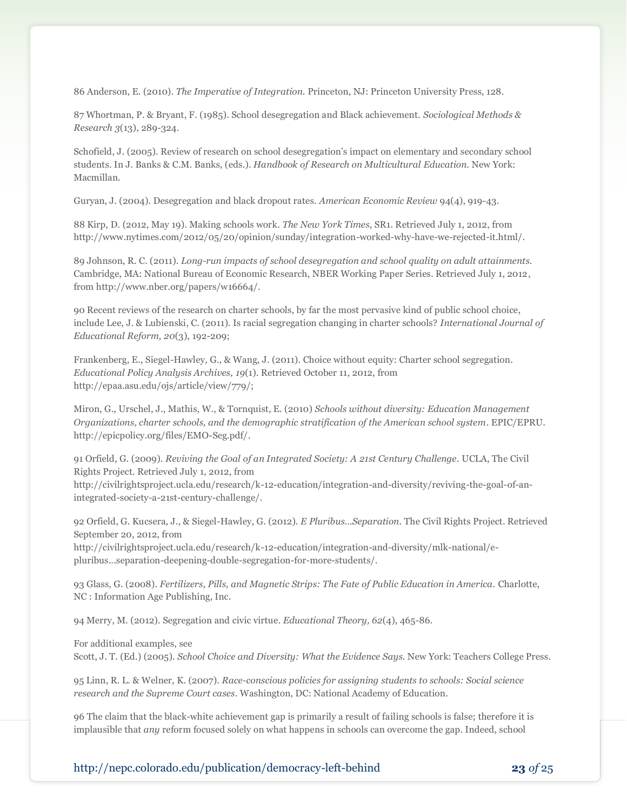86 Anderson, E. (2010). *The Imperative of Integration.* Princeton, NJ: Princeton University Press, 128.

87 Whortman, P. & Bryant, F. (1985). School desegregation and Black achievement. *Sociological Methods & Research 3*(13), 289-324.

Schofield, J. (2005). Review of research on school desegregation's impact on elementary and secondary school students. In J. Banks & C.M. Banks, (eds.). *Handbook of Research on Multicultural Education.* New York: Macmillan.

Guryan, J. (2004). Desegregation and black dropout rates. *American Economic Review* 94(4), 919-43.

88 Kirp, D. (2012, May 19). Making schools work. *The New York Times*, SR1. Retrieved July 1, 2012, from http://www.nytimes.com/2012/05/20/opinion/sunday/integration-worked-why-have-we-rejected-it.html/.

89 Johnson, R. C. (2011). *Long-run impacts of school desegregation and school quality on adult attainments.* Cambridge, MA: National Bureau of Economic Research, NBER Working Paper Series. Retrieved July 1, 2012, from http://www.nber.org/papers/w16664/.

90 Recent reviews of the research on charter schools, by far the most pervasive kind of public school choice, include Lee, J. & Lubienski, C. (2011). Is racial segregation changing in charter schools? *International Journal of Educational Reform, 20*(3), 192-209;

Frankenberg, E., Siegel-Hawley, G., & Wang, J. (2011). Choice without equity: Charter school segregation. *Educational Policy Analysis Archives, 19*(1). Retrieved October 11, 2012, from http://epaa.asu.edu/ojs/article/view/779/;

Miron, G., Urschel, J., Mathis, W., & Tornquist, E. (2010) *Schools without diversity: Education Management Organizations, charter schools, and the demographic stratification of the American school system*. EPIC/EPRU. http://epicpolicy.org/files/EMO-Seg.pdf/.

91 Orfield, G. (2009). *Reviving the Goal of an Integrated Society: A 21st Century Challenge.* UCLA, The Civil Rights Project. Retrieved July 1, 2012, from

http://civilrightsproject.ucla.edu/research/k-12-education/integration-and-diversity/reviving-the-goal-of-anintegrated-society-a-21st-century-challenge/.

92 Orfield, G. Kucsera, J., & Siegel-Hawley, G. (2012). *E Pluribus…Separation.* The Civil Rights Project. Retrieved September 20, 2012, from

http://civilrightsproject.ucla.edu/research/k-12-education/integration-and-diversity/mlk-national/epluribus...separation-deepening-double-segregation-for-more-students/.

93 Glass, G. (2008). *Fertilizers, Pills, and Magnetic Strips: The Fate of Public Education in America.* Charlotte, NC : Information Age Publishing, Inc.

94 Merry, M. (2012). Segregation and civic virtue. *Educational Theory, 62*(4), 465-86.

For additional examples, see Scott, J. T. (Ed.) (2005). *School Choice and Diversity: What the Evidence Says.* New York: Teachers College Press.

95 Linn, R. L. & Welner, K. (2007). *Race-conscious policies for assigning students to schools: Social science research and the Supreme Court cases*. Washington, DC: National Academy of Education.

96 The claim that the black-white achievement gap is primarily a result of failing schools is false; therefore it is implausible that *any* reform focused solely on what happens in schools can overcome the gap. Indeed, school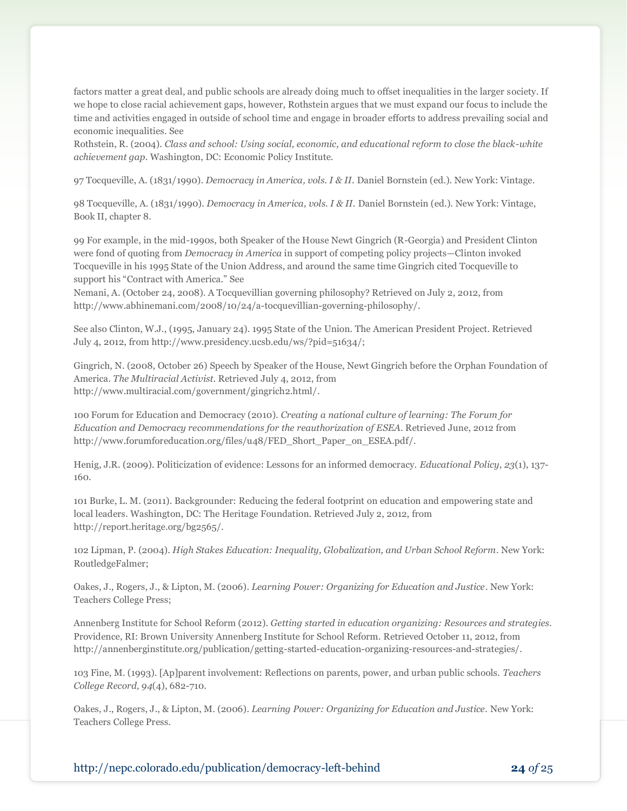factors matter a great deal, and public schools are already doing much to offset inequalities in the larger society. If we hope to close racial achievement gaps, however, Rothstein argues that we must expand our focus to include the time and activities engaged in outside of school time and engage in broader efforts to address prevailing social and economic inequalities. See

Rothstein, R. (2004). *Class and school: Using social, economic, and educational reform to close the black-white achievement gap.* Washington, DC: Economic Policy Institute.

97 Tocqueville, A. (1831/1990). *Democracy in America, vols. I & II.* Daniel Bornstein (ed.). New York: Vintage.

98 Tocqueville, A. (1831/1990). *Democracy in America, vols. I & II.* Daniel Bornstein (ed.). New York: Vintage, Book II, chapter 8.

99 For example, in the mid-1990s, both Speaker of the House Newt Gingrich (R-Georgia) and President Clinton were fond of quoting from *Democracy in America* in support of competing policy projects—Clinton invoked Tocqueville in his 1995 State of the Union Address, and around the same time Gingrich cited Tocqueville to support his "Contract with America." See

Nemani, A. (October 24, 2008). A Tocquevillian governing philosophy? Retrieved on July 2, 2012, from http://www.abhinemani.com/2008/10/24/a-tocquevillian-governing-philosophy/.

See also Clinton, W.J., (1995, January 24). 1995 State of the Union. The American President Project. Retrieved July 4, 2012, from http://www.presidency.ucsb.edu/ws/?pid=51634/;

Gingrich, N. (2008, October 26) Speech by Speaker of the House, Newt Gingrich before the Orphan Foundation of America. *The Multiracial Activist*. Retrieved July 4, 2012, from http://www.multiracial.com/government/gingrich2.html/.

100 Forum for Education and Democracy (2010). *Creating a national culture of learning: The Forum for Education and Democracy recommendations for the reauthorization of ESEA*. Retrieved June, 2012 from http://www.forumforeducation.org/files/u48/FED\_Short\_Paper\_on\_ESEA.pdf/.

Henig, J.R. (2009). Politicization of evidence: Lessons for an informed democracy. *Educational Policy*, *23*(1), 137- 160.

101 Burke, L. M. (2011). Backgrounder: Reducing the federal footprint on education and empowering state and local leaders*.* Washington, DC: The Heritage Foundation. Retrieved July 2, 2012, from http://report.heritage.org/bg2565/.

102 Lipman, P. (2004). *High Stakes Education: Inequality, Globalization, and Urban School Reform*. New York: RoutledgeFalmer;

Oakes, J., Rogers, J., & Lipton, M. (2006). *Learning Power: Organizing for Education and Justice.* New York: Teachers College Press;

Annenberg Institute for School Reform (2012). *Getting started in education organizing: Resources and strategies.* Providence, RI: Brown University Annenberg Institute for School Reform. Retrieved October 11, 2012, from http://annenberginstitute.org/publication/getting-started-education-organizing-resources-and-strategies/.

103 Fine, M. (1993). [Ap]parent involvement: Reflections on parents, power, and urban public schools. *Teachers College Record, 94*(4), 682-710.

Oakes, J., Rogers, J., & Lipton, M. (2006). *Learning Power: Organizing for Education and Justice.* New York: Teachers College Press.

http://nepc.colorado.edu/publication/democracy-left-behind **24** *of* 25